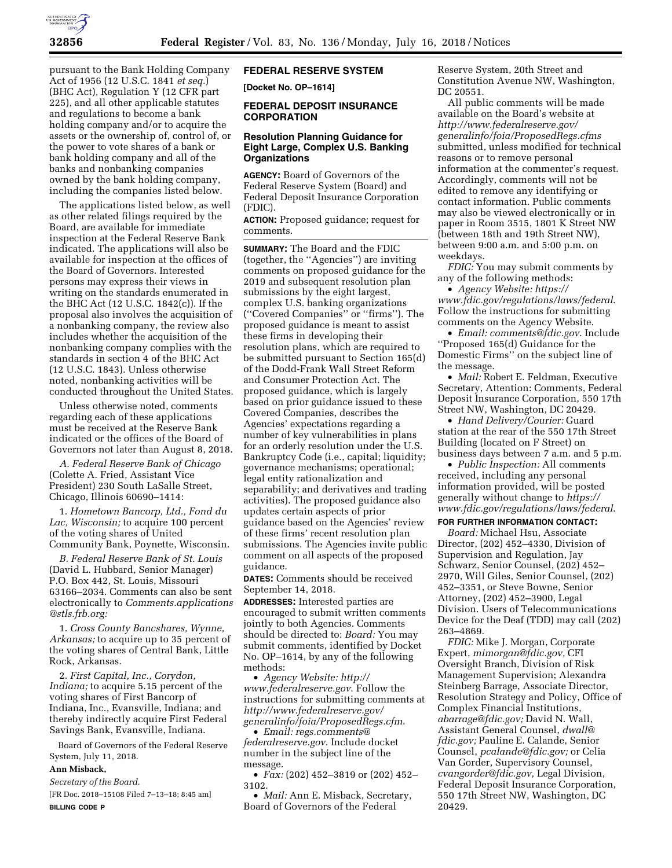

pursuant to the Bank Holding Company Act of 1956 (12 U.S.C. 1841 *et seq.*) (BHC Act), Regulation Y (12 CFR part 225), and all other applicable statutes and regulations to become a bank holding company and/or to acquire the assets or the ownership of, control of, or the power to vote shares of a bank or bank holding company and all of the banks and nonbanking companies owned by the bank holding company, including the companies listed below.

The applications listed below, as well as other related filings required by the Board, are available for immediate inspection at the Federal Reserve Bank indicated. The applications will also be available for inspection at the offices of the Board of Governors. Interested persons may express their views in writing on the standards enumerated in the BHC Act (12 U.S.C. 1842(c)). If the proposal also involves the acquisition of a nonbanking company, the review also includes whether the acquisition of the nonbanking company complies with the standards in section 4 of the BHC Act (12 U.S.C. 1843). Unless otherwise noted, nonbanking activities will be conducted throughout the United States.

Unless otherwise noted, comments regarding each of these applications must be received at the Reserve Bank indicated or the offices of the Board of Governors not later than August 8, 2018.

*A. Federal Reserve Bank of Chicago*  (Colette A. Fried, Assistant Vice President) 230 South LaSalle Street, Chicago, Illinois 60690–1414:

1. *Hometown Bancorp, Ltd., Fond du Lac, Wisconsin;* to acquire 100 percent of the voting shares of United Community Bank, Poynette, Wisconsin.

*B. Federal Reserve Bank of St. Louis*  (David L. Hubbard, Senior Manager) P.O. Box 442, St. Louis, Missouri 63166–2034. Comments can also be sent electronically to *[Comments.applications](mailto:Comments.applications@stls.frb.org)  [@stls.frb.org:](mailto:Comments.applications@stls.frb.org)* 

1. *Cross County Bancshares, Wynne, Arkansas;* to acquire up to 35 percent of the voting shares of Central Bank, Little Rock, Arkansas.

2. *First Capital, Inc., Corydon, Indiana;* to acquire 5.15 percent of the voting shares of First Bancorp of Indiana, Inc., Evansville, Indiana; and thereby indirectly acquire First Federal Savings Bank, Evansville, Indiana.

Board of Governors of the Federal Reserve System, July 11, 2018.

# **Ann Misback,**

*Secretary of the Board.* 

[FR Doc. 2018–15108 Filed 7–13–18; 8:45 am] **BILLING CODE P** 

# **FEDERAL RESERVE SYSTEM**

**[Docket No. OP–1614]** 

# **FEDERAL DEPOSIT INSURANCE CORPORATION**

# **Resolution Planning Guidance for Eight Large, Complex U.S. Banking Organizations**

**AGENCY:** Board of Governors of the Federal Reserve System (Board) and Federal Deposit Insurance Corporation (FDIC).

**ACTION:** Proposed guidance; request for comments.

**SUMMARY:** The Board and the FDIC (together, the ''Agencies'') are inviting comments on proposed guidance for the 2019 and subsequent resolution plan submissions by the eight largest, complex U.S. banking organizations (''Covered Companies'' or ''firms''). The proposed guidance is meant to assist these firms in developing their resolution plans, which are required to be submitted pursuant to Section 165(d) of the Dodd-Frank Wall Street Reform and Consumer Protection Act. The proposed guidance, which is largely based on prior guidance issued to these Covered Companies, describes the Agencies' expectations regarding a number of key vulnerabilities in plans for an orderly resolution under the U.S. Bankruptcy Code (i.e., capital; liquidity; governance mechanisms; operational; legal entity rationalization and separability; and derivatives and trading activities). The proposed guidance also updates certain aspects of prior guidance based on the Agencies' review of these firms' recent resolution plan submissions. The Agencies invite public comment on all aspects of the proposed guidance.

**DATES:** Comments should be received September 14, 2018.

**ADDRESSES:** Interested parties are encouraged to submit written comments jointly to both Agencies. Comments should be directed to: *Board:* You may submit comments, identified by Docket No. OP–1614, by any of the following methods:

• *Agency Website: [http://](http://www.federalreserve.gov) [www.federalreserve.gov](http://www.federalreserve.gov)*. Follow the instructions for submitting comments at *[http://www.federalreserve.gov/](http://www.federalreserve.gov/generalinfo/foia/ProposedRegs.cfm)  [generalinfo/foia/ProposedRegs.cfm](http://www.federalreserve.gov/generalinfo/foia/ProposedRegs.cfm)*.

• *Email: [regs.comments@](mailto:regs.comments@federalreserve.gov) [federalreserve.gov](mailto:regs.comments@federalreserve.gov)*. Include docket number in the subject line of the message.

• *Fax:* (202) 452–3819 or (202) 452– 3102.

• *Mail:* Ann E. Misback, Secretary, Board of Governors of the Federal

Reserve System, 20th Street and Constitution Avenue NW, Washington, DC 20551.

All public comments will be made available on the Board's website at *[http://www.federalreserve.gov/](http://www.federalreserve.gov/generalinfo/foia/ProposedRegs.cfms)  [generalinfo/foia/ProposedRegs.cfms](http://www.federalreserve.gov/generalinfo/foia/ProposedRegs.cfms)*  submitted, unless modified for technical reasons or to remove personal information at the commenter's request. Accordingly, comments will not be edited to remove any identifying or contact information. Public comments may also be viewed electronically or in paper in Room 3515, 1801 K Street NW (between 18th and 19th Street NW), between 9:00 a.m. and 5:00 p.m. on weekdays.

*FDIC:* You may submit comments by any of the following methods:

• *Agency Website: [https://](https://www.fdic.gov/regulations/laws/federal) [www.fdic.gov/regulations/laws/federal](https://www.fdic.gov/regulations/laws/federal)*. Follow the instructions for submitting comments on the Agency Website.

• *Email: [comments@fdic.gov](mailto:comments@fdic.gov)*. Include ''Proposed 165(d) Guidance for the Domestic Firms'' on the subject line of the message.

• *Mail:* Robert E. Feldman, Executive Secretary, Attention: Comments, Federal Deposit Insurance Corporation, 550 17th Street NW, Washington, DC 20429.

• *Hand Delivery/Courier:* Guard station at the rear of the 550 17th Street Building (located on F Street) on business days between 7 a.m. and 5 p.m.

• *Public Inspection:* All comments received, including any personal information provided, will be posted generally without change to *[https://](https://www.fdic.gov/regulations/laws/federal) [www.fdic.gov/regulations/laws/federal](https://www.fdic.gov/regulations/laws/federal)*.

# **FOR FURTHER INFORMATION CONTACT:**

*Board:* Michael Hsu, Associate Director, (202) 452–4330, Division of Supervision and Regulation, Jay Schwarz, Senior Counsel, (202) 452– 2970, Will Giles, Senior Counsel, (202) 452–3351, or Steve Bowne, Senior Attorney, (202) 452–3900, Legal Division. Users of Telecommunications Device for the Deaf (TDD) may call (202) 263–4869.

*FDIC:* Mike J. Morgan, Corporate Expert, *[mimorgan@fdic.gov,](mailto:mimorgan@fdic.gov)* CFI Oversight Branch, Division of Risk Management Supervision; Alexandra Steinberg Barrage, Associate Director, Resolution Strategy and Policy, Office of Complex Financial Institutions, *[abarrage@fdic.gov;](mailto:abarrage@fdic.gov)* David N. Wall, Assistant General Counsel, *[dwall@](mailto:dwall@fdic.gov) [fdic.gov;](mailto:dwall@fdic.gov)* Pauline E. Calande, Senior Counsel, *[pcalande@fdic.gov;](mailto:pcalande@fdic.gov)* or Celia Van Gorder, Supervisory Counsel, *[cvangorder@fdic.gov,](mailto:cvangorder@fdic.gov)* Legal Division, Federal Deposit Insurance Corporation, 550 17th Street NW, Washington, DC 20429.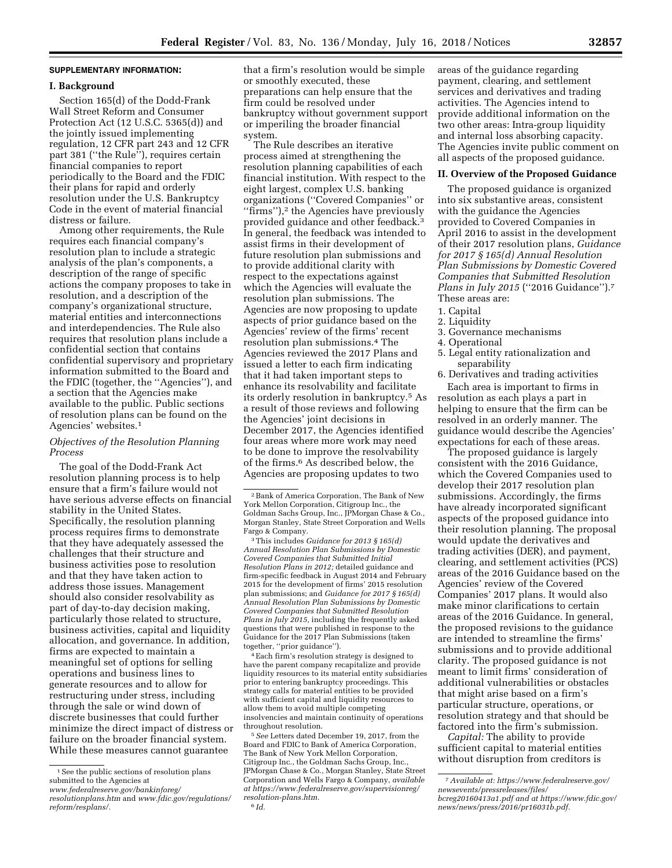## **SUPPLEMENTARY INFORMATION:**

### **I. Background**

Section 165(d) of the Dodd-Frank Wall Street Reform and Consumer Protection Act (12 U.S.C. 5365(d)) and the jointly issued implementing regulation, 12 CFR part 243 and 12 CFR part 381 (''the Rule''), requires certain financial companies to report periodically to the Board and the FDIC their plans for rapid and orderly resolution under the U.S. Bankruptcy Code in the event of material financial distress or failure.

Among other requirements, the Rule requires each financial company's resolution plan to include a strategic analysis of the plan's components, a description of the range of specific actions the company proposes to take in resolution, and a description of the company's organizational structure, material entities and interconnections and interdependencies. The Rule also requires that resolution plans include a confidential section that contains confidential supervisory and proprietary information submitted to the Board and the FDIC (together, the ''Agencies''), and a section that the Agencies make available to the public. Public sections of resolution plans can be found on the Agencies' websites.1

# *Objectives of the Resolution Planning Process*

The goal of the Dodd-Frank Act resolution planning process is to help ensure that a firm's failure would not have serious adverse effects on financial stability in the United States. Specifically, the resolution planning process requires firms to demonstrate that they have adequately assessed the challenges that their structure and business activities pose to resolution and that they have taken action to address those issues. Management should also consider resolvability as part of day-to-day decision making, particularly those related to structure, business activities, capital and liquidity allocation, and governance. In addition, firms are expected to maintain a meaningful set of options for selling operations and business lines to generate resources and to allow for restructuring under stress, including through the sale or wind down of discrete businesses that could further minimize the direct impact of distress or failure on the broader financial system. While these measures cannot guarantee

that a firm's resolution would be simple or smoothly executed, these preparations can help ensure that the firm could be resolved under bankruptcy without government support or imperiling the broader financial system.

The Rule describes an iterative process aimed at strengthening the resolution planning capabilities of each financial institution. With respect to the eight largest, complex U.S. banking organizations (''Covered Companies'' or "firms"),<sup>2</sup> the Agencies have previously provided guidance and other feedback.3 In general, the feedback was intended to assist firms in their development of future resolution plan submissions and to provide additional clarity with respect to the expectations against which the Agencies will evaluate the resolution plan submissions. The Agencies are now proposing to update aspects of prior guidance based on the Agencies' review of the firms' recent resolution plan submissions.4 The Agencies reviewed the 2017 Plans and issued a letter to each firm indicating that it had taken important steps to enhance its resolvability and facilitate its orderly resolution in bankruptcy.5 As a result of those reviews and following the Agencies' joint decisions in December 2017, the Agencies identified four areas where more work may need to be done to improve the resolvability of the firms.6 As described below, the Agencies are proposing updates to two

3This includes *Guidance for 2013 § 165(d) Annual Resolution Plan Submissions by Domestic Covered Companies that Submitted Initial Resolution Plans in 2012;* detailed guidance and firm-specific feedback in August 2014 and February 2015 for the development of firms' 2015 resolution plan submissions; and *Guidance for 2017 § 165(d) Annual Resolution Plan Submissions by Domestic Covered Companies that Submitted Resolution Plans in July 2015,* including the frequently asked questions that were published in response to the Guidance for the 2017 Plan Submissions (taken together, ''prior guidance'').

4Each firm's resolution strategy is designed to have the parent company recapitalize and provide liquidity resources to its material entity subsidiaries prior to entering bankruptcy proceedings. This strategy calls for material entities to be provided with sufficient capital and liquidity resources to allow them to avoid multiple competing insolvencies and maintain continuity of operations throughout resolution.

5*See* Letters dated December 19, 2017, from the Board and FDIC to Bank of America Corporation, The Bank of New York Mellon Corporation, Citigroup Inc., the Goldman Sachs Group, Inc., JPMorgan Chase & Co., Morgan Stanley, State Street Corporation and Wells Fargo & Company, *available at [https://www.federalreserve.gov/supervisionreg/](https://www.federalreserve.gov/supervisionreg/resolution-plans.htm) [resolution-plans.htm.](https://www.federalreserve.gov/supervisionreg/resolution-plans.htm)*  6 *Id.* 

areas of the guidance regarding payment, clearing, and settlement services and derivatives and trading activities. The Agencies intend to provide additional information on the two other areas: Intra-group liquidity and internal loss absorbing capacity. The Agencies invite public comment on all aspects of the proposed guidance.

### **II. Overview of the Proposed Guidance**

The proposed guidance is organized into six substantive areas, consistent with the guidance the Agencies provided to Covered Companies in April 2016 to assist in the development of their 2017 resolution plans, *Guidance for 2017 § 165(d) Annual Resolution Plan Submissions by Domestic Covered Companies that Submitted Resolution Plans in July 2015* (''2016 Guidance'').7 These areas are:

- 1. Capital
- 2. Liquidity
- 3. Governance mechanisms
- 4. Operational
- 5. Legal entity rationalization and separability

6. Derivatives and trading activities Each area is important to firms in resolution as each plays a part in helping to ensure that the firm can be resolved in an orderly manner. The guidance would describe the Agencies' expectations for each of these areas.

The proposed guidance is largely consistent with the 2016 Guidance, which the Covered Companies used to develop their 2017 resolution plan submissions. Accordingly, the firms have already incorporated significant aspects of the proposed guidance into their resolution planning. The proposal would update the derivatives and trading activities (DER), and payment, clearing, and settlement activities (PCS) areas of the 2016 Guidance based on the Agencies' review of the Covered Companies' 2017 plans. It would also make minor clarifications to certain areas of the 2016 Guidance. In general, the proposed revisions to the guidance are intended to streamline the firms' submissions and to provide additional clarity. The proposed guidance is not meant to limit firms' consideration of additional vulnerabilities or obstacles that might arise based on a firm's particular structure, operations, or resolution strategy and that should be factored into the firm's submission.

*Capital:* The ability to provide sufficient capital to material entities without disruption from creditors is

<sup>&</sup>lt;sup>1</sup> See the public sections of resolution plans submitted to the Agencies at *[www.federalreserve.gov/bankinforeg/](http://www.federalreserve.gov/bankinforeg/resolutionplans.htm)* 

*[resolutionplans.htm](http://www.federalreserve.gov/bankinforeg/resolutionplans.htm)* and *[www.fdic.gov/regulations/](http://www.fdic.gov/regulations/reform/resplans/) [reform/resplans/.](http://www.fdic.gov/regulations/reform/resplans/)* 

 $^{\rm 2}$  Bank of America Corporation, The Bank of New York Mellon Corporation, Citigroup Inc., the Goldman Sachs Group, Inc., JPMorgan Chase & Co., Morgan Stanley, State Street Corporation and Wells Fargo & Company.

<sup>7</sup>*Available at: [https://www.federalreserve.gov/](https://www.federalreserve.gov/newsevents/pressreleases/files/bcreg20160413a1.pdf)  [newsevents/pressreleases/files/](https://www.federalreserve.gov/newsevents/pressreleases/files/bcreg20160413a1.pdf)  [bcreg20160413a1.pdf a](https://www.federalreserve.gov/newsevents/pressreleases/files/bcreg20160413a1.pdf)nd at [https://www.fdic.gov/](https://www.fdic.gov/news/news/press/2016/pr16031b.pdf)  [news/news/press/2016/pr16031b.pdf.](https://www.fdic.gov/news/news/press/2016/pr16031b.pdf)*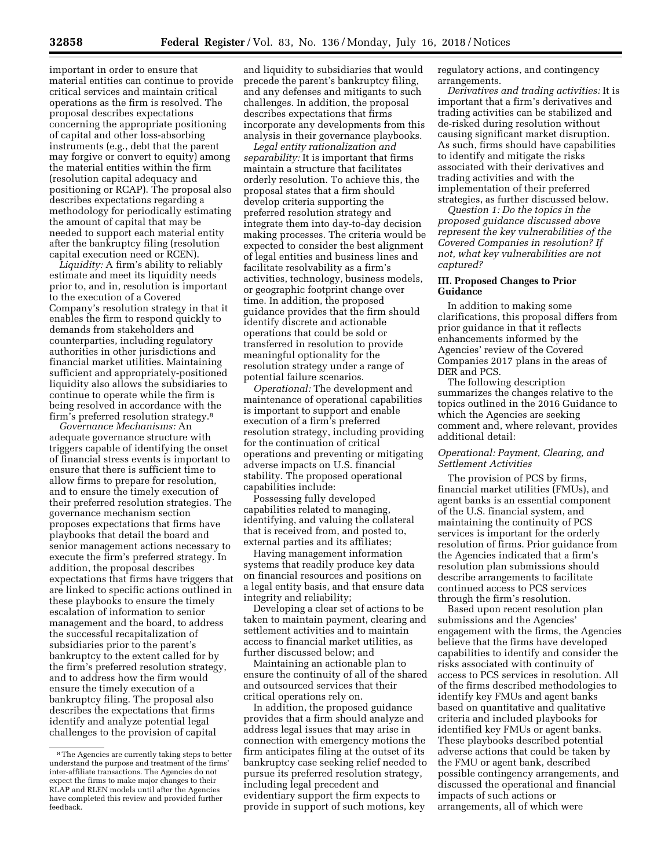important in order to ensure that material entities can continue to provide critical services and maintain critical operations as the firm is resolved. The proposal describes expectations concerning the appropriate positioning of capital and other loss-absorbing instruments (e.g., debt that the parent may forgive or convert to equity) among the material entities within the firm (resolution capital adequacy and positioning or RCAP). The proposal also describes expectations regarding a methodology for periodically estimating the amount of capital that may be needed to support each material entity after the bankruptcy filing (resolution capital execution need or RCEN).

*Liquidity:* A firm's ability to reliably estimate and meet its liquidity needs prior to, and in, resolution is important to the execution of a Covered Company's resolution strategy in that it enables the firm to respond quickly to demands from stakeholders and counterparties, including regulatory authorities in other jurisdictions and financial market utilities. Maintaining sufficient and appropriately-positioned liquidity also allows the subsidiaries to continue to operate while the firm is being resolved in accordance with the firm's preferred resolution strategy.8

*Governance Mechanisms:* An adequate governance structure with triggers capable of identifying the onset of financial stress events is important to ensure that there is sufficient time to allow firms to prepare for resolution, and to ensure the timely execution of their preferred resolution strategies. The governance mechanism section proposes expectations that firms have playbooks that detail the board and senior management actions necessary to execute the firm's preferred strategy. In addition, the proposal describes expectations that firms have triggers that are linked to specific actions outlined in these playbooks to ensure the timely escalation of information to senior management and the board, to address the successful recapitalization of subsidiaries prior to the parent's bankruptcy to the extent called for by the firm's preferred resolution strategy, and to address how the firm would ensure the timely execution of a bankruptcy filing. The proposal also describes the expectations that firms identify and analyze potential legal challenges to the provision of capital

and liquidity to subsidiaries that would precede the parent's bankruptcy filing, and any defenses and mitigants to such challenges. In addition, the proposal describes expectations that firms incorporate any developments from this analysis in their governance playbooks.

*Legal entity rationalization and separability:* It is important that firms maintain a structure that facilitates orderly resolution. To achieve this, the proposal states that a firm should develop criteria supporting the preferred resolution strategy and integrate them into day-to-day decision making processes. The criteria would be expected to consider the best alignment of legal entities and business lines and facilitate resolvability as a firm's activities, technology, business models, or geographic footprint change over time. In addition, the proposed guidance provides that the firm should identify discrete and actionable operations that could be sold or transferred in resolution to provide meaningful optionality for the resolution strategy under a range of potential failure scenarios.

*Operational:* The development and maintenance of operational capabilities is important to support and enable execution of a firm's preferred resolution strategy, including providing for the continuation of critical operations and preventing or mitigating adverse impacts on U.S. financial stability. The proposed operational capabilities include:

Possessing fully developed capabilities related to managing, identifying, and valuing the collateral that is received from, and posted to, external parties and its affiliates;

Having management information systems that readily produce key data on financial resources and positions on a legal entity basis, and that ensure data integrity and reliability;

Developing a clear set of actions to be taken to maintain payment, clearing and settlement activities and to maintain access to financial market utilities, as further discussed below; and

Maintaining an actionable plan to ensure the continuity of all of the shared and outsourced services that their critical operations rely on.

In addition, the proposed guidance provides that a firm should analyze and address legal issues that may arise in connection with emergency motions the firm anticipates filing at the outset of its bankruptcy case seeking relief needed to pursue its preferred resolution strategy, including legal precedent and evidentiary support the firm expects to provide in support of such motions, key

regulatory actions, and contingency arrangements.

*Derivatives and trading activities:* It is important that a firm's derivatives and trading activities can be stabilized and de-risked during resolution without causing significant market disruption. As such, firms should have capabilities to identify and mitigate the risks associated with their derivatives and trading activities and with the implementation of their preferred strategies, as further discussed below.

*Question 1: Do the topics in the proposed guidance discussed above represent the key vulnerabilities of the Covered Companies in resolution? If not, what key vulnerabilities are not captured?* 

# **III. Proposed Changes to Prior Guidance**

In addition to making some clarifications, this proposal differs from prior guidance in that it reflects enhancements informed by the Agencies' review of the Covered Companies 2017 plans in the areas of DER and PCS.

The following description summarizes the changes relative to the topics outlined in the 2016 Guidance to which the Agencies are seeking comment and, where relevant, provides additional detail:

### *Operational: Payment, Clearing, and Settlement Activities*

The provision of PCS by firms, financial market utilities (FMUs), and agent banks is an essential component of the U.S. financial system, and maintaining the continuity of PCS services is important for the orderly resolution of firms. Prior guidance from the Agencies indicated that a firm's resolution plan submissions should describe arrangements to facilitate continued access to PCS services through the firm's resolution.

Based upon recent resolution plan submissions and the Agencies' engagement with the firms, the Agencies believe that the firms have developed capabilities to identify and consider the risks associated with continuity of access to PCS services in resolution. All of the firms described methodologies to identify key FMUs and agent banks based on quantitative and qualitative criteria and included playbooks for identified key FMUs or agent banks. These playbooks described potential adverse actions that could be taken by the FMU or agent bank, described possible contingency arrangements, and discussed the operational and financial impacts of such actions or arrangements, all of which were

<sup>8</sup>The Agencies are currently taking steps to better understand the purpose and treatment of the firms' inter-affiliate transactions. The Agencies do not expect the firms to make major changes to their RLAP and RLEN models until after the Agencies have completed this review and provided further feedback.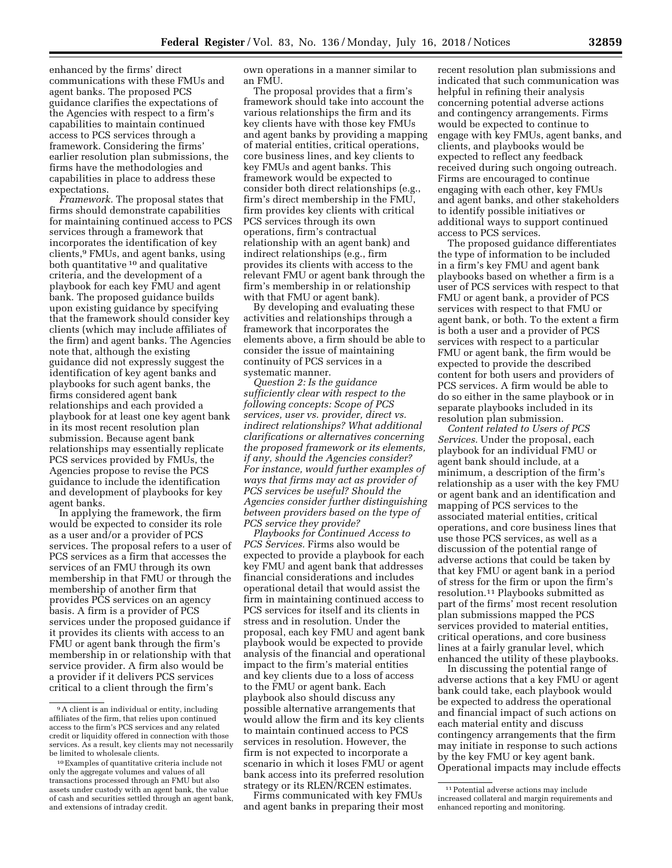enhanced by the firms' direct communications with these FMUs and agent banks. The proposed PCS guidance clarifies the expectations of the Agencies with respect to a firm's capabilities to maintain continued access to PCS services through a framework. Considering the firms' earlier resolution plan submissions, the firms have the methodologies and capabilities in place to address these expectations.

*Framework.* The proposal states that firms should demonstrate capabilities for maintaining continued access to PCS services through a framework that incorporates the identification of key clients,9 FMUs, and agent banks, using both quantitative 10 and qualitative criteria, and the development of a playbook for each key FMU and agent bank. The proposed guidance builds upon existing guidance by specifying that the framework should consider key clients (which may include affiliates of the firm) and agent banks. The Agencies note that, although the existing guidance did not expressly suggest the identification of key agent banks and playbooks for such agent banks, the firms considered agent bank relationships and each provided a playbook for at least one key agent bank in its most recent resolution plan submission. Because agent bank relationships may essentially replicate PCS services provided by FMUs, the Agencies propose to revise the PCS guidance to include the identification and development of playbooks for key agent banks.

In applying the framework, the firm would be expected to consider its role as a user and/or a provider of PCS services. The proposal refers to a user of PCS services as a firm that accesses the services of an FMU through its own membership in that FMU or through the membership of another firm that provides PCS services on an agency basis. A firm is a provider of PCS services under the proposed guidance if it provides its clients with access to an FMU or agent bank through the firm's membership in or relationship with that service provider. A firm also would be a provider if it delivers PCS services critical to a client through the firm's

own operations in a manner similar to an FMU.

The proposal provides that a firm's framework should take into account the various relationships the firm and its key clients have with those key FMUs and agent banks by providing a mapping of material entities, critical operations, core business lines, and key clients to key FMUs and agent banks. This framework would be expected to consider both direct relationships (e.g., firm's direct membership in the FMU, firm provides key clients with critical PCS services through its own operations, firm's contractual relationship with an agent bank) and indirect relationships (e.g., firm provides its clients with access to the relevant FMU or agent bank through the firm's membership in or relationship with that FMU or agent bank).

By developing and evaluating these activities and relationships through a framework that incorporates the elements above, a firm should be able to consider the issue of maintaining continuity of PCS services in a systematic manner.

*Question 2: Is the guidance sufficiently clear with respect to the following concepts: Scope of PCS services, user vs. provider, direct vs. indirect relationships? What additional clarifications or alternatives concerning the proposed framework or its elements, if any, should the Agencies consider? For instance, would further examples of ways that firms may act as provider of PCS services be useful? Should the Agencies consider further distinguishing between providers based on the type of PCS service they provide?* 

*Playbooks for Continued Access to PCS Services.* Firms also would be expected to provide a playbook for each key FMU and agent bank that addresses financial considerations and includes operational detail that would assist the firm in maintaining continued access to PCS services for itself and its clients in stress and in resolution. Under the proposal, each key FMU and agent bank playbook would be expected to provide analysis of the financial and operational impact to the firm's material entities and key clients due to a loss of access to the FMU or agent bank. Each playbook also should discuss any possible alternative arrangements that would allow the firm and its key clients to maintain continued access to PCS services in resolution. However, the firm is not expected to incorporate a scenario in which it loses FMU or agent bank access into its preferred resolution strategy or its RLEN/RCEN estimates.

Firms communicated with key FMUs and agent banks in preparing their most

recent resolution plan submissions and indicated that such communication was helpful in refining their analysis concerning potential adverse actions and contingency arrangements. Firms would be expected to continue to engage with key FMUs, agent banks, and clients, and playbooks would be expected to reflect any feedback received during such ongoing outreach. Firms are encouraged to continue engaging with each other, key FMUs and agent banks, and other stakeholders to identify possible initiatives or additional ways to support continued access to PCS services.

The proposed guidance differentiates the type of information to be included in a firm's key FMU and agent bank playbooks based on whether a firm is a user of PCS services with respect to that FMU or agent bank, a provider of PCS services with respect to that FMU or agent bank, or both. To the extent a firm is both a user and a provider of PCS services with respect to a particular FMU or agent bank, the firm would be expected to provide the described content for both users and providers of PCS services. A firm would be able to do so either in the same playbook or in separate playbooks included in its resolution plan submission.

*Content related to Users of PCS Services.* Under the proposal, each playbook for an individual FMU or agent bank should include, at a minimum, a description of the firm's relationship as a user with the key FMU or agent bank and an identification and mapping of PCS services to the associated material entities, critical operations, and core business lines that use those PCS services, as well as a discussion of the potential range of adverse actions that could be taken by that key FMU or agent bank in a period of stress for the firm or upon the firm's resolution.11 Playbooks submitted as part of the firms' most recent resolution plan submissions mapped the PCS services provided to material entities, critical operations, and core business lines at a fairly granular level, which enhanced the utility of these playbooks.

In discussing the potential range of adverse actions that a key FMU or agent bank could take, each playbook would be expected to address the operational and financial impact of such actions on each material entity and discuss contingency arrangements that the firm may initiate in response to such actions by the key FMU or key agent bank. Operational impacts may include effects

 $^9\,\mathrm{A}$  client is an individual or entity, including affiliates of the firm, that relies upon continued access to the firm's PCS services and any related credit or liquidity offered in connection with those services. As a result, key clients may not necessarily be limited to wholesale clients.

<sup>10</sup>Examples of quantitative criteria include not only the aggregate volumes and values of all transactions processed through an FMU but also assets under custody with an agent bank, the value of cash and securities settled through an agent bank, and extensions of intraday credit.

<sup>11</sup>Potential adverse actions may include increased collateral and margin requirements and enhanced reporting and monitoring.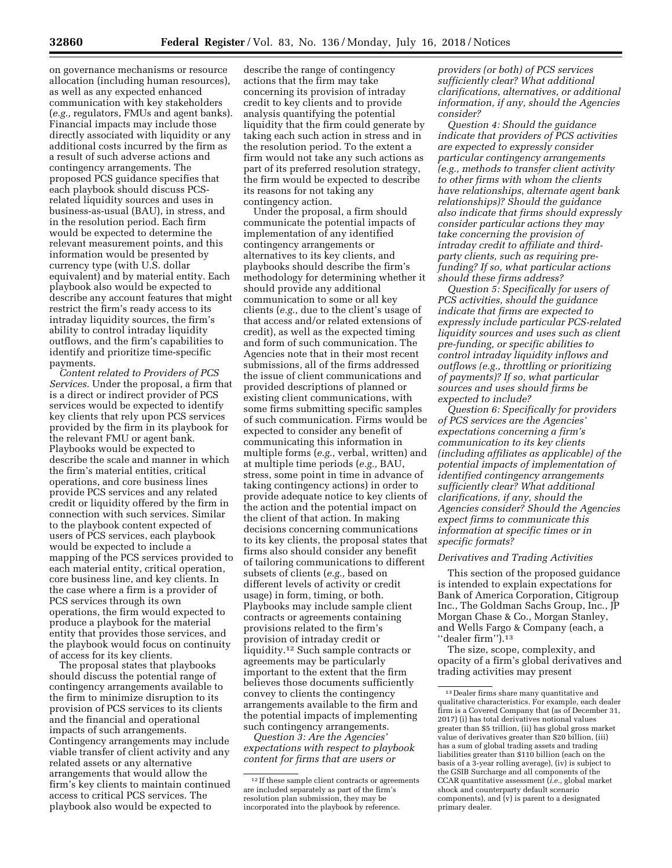on governance mechanisms or resource allocation (including human resources), as well as any expected enhanced communication with key stakeholders (*e.g.,* regulators, FMUs and agent banks). Financial impacts may include those directly associated with liquidity or any additional costs incurred by the firm as a result of such adverse actions and contingency arrangements. The proposed PCS guidance specifies that each playbook should discuss PCSrelated liquidity sources and uses in business-as-usual (BAU), in stress, and in the resolution period. Each firm would be expected to determine the relevant measurement points, and this information would be presented by currency type (with U.S. dollar equivalent) and by material entity. Each playbook also would be expected to describe any account features that might restrict the firm's ready access to its intraday liquidity sources, the firm's ability to control intraday liquidity outflows, and the firm's capabilities to identify and prioritize time-specific payments.

*Content related to Providers of PCS Services.* Under the proposal, a firm that is a direct or indirect provider of PCS services would be expected to identify key clients that rely upon PCS services provided by the firm in its playbook for the relevant FMU or agent bank. Playbooks would be expected to describe the scale and manner in which the firm's material entities, critical operations, and core business lines provide PCS services and any related credit or liquidity offered by the firm in connection with such services. Similar to the playbook content expected of users of PCS services, each playbook would be expected to include a mapping of the PCS services provided to each material entity, critical operation, core business line, and key clients. In the case where a firm is a provider of PCS services through its own operations, the firm would expected to produce a playbook for the material entity that provides those services, and the playbook would focus on continuity of access for its key clients.

The proposal states that playbooks should discuss the potential range of contingency arrangements available to the firm to minimize disruption to its provision of PCS services to its clients and the financial and operational impacts of such arrangements. Contingency arrangements may include viable transfer of client activity and any related assets or any alternative arrangements that would allow the firm's key clients to maintain continued access to critical PCS services. The playbook also would be expected to

describe the range of contingency actions that the firm may take concerning its provision of intraday credit to key clients and to provide analysis quantifying the potential liquidity that the firm could generate by taking each such action in stress and in the resolution period. To the extent a firm would not take any such actions as part of its preferred resolution strategy, the firm would be expected to describe its reasons for not taking any contingency action.

Under the proposal, a firm should communicate the potential impacts of implementation of any identified contingency arrangements or alternatives to its key clients, and playbooks should describe the firm's methodology for determining whether it should provide any additional communication to some or all key clients (*e.g.,* due to the client's usage of that access and/or related extensions of credit), as well as the expected timing and form of such communication. The Agencies note that in their most recent submissions, all of the firms addressed the issue of client communications and provided descriptions of planned or existing client communications, with some firms submitting specific samples of such communication. Firms would be expected to consider any benefit of communicating this information in multiple forms (*e.g.,* verbal, written) and at multiple time periods (*e.g.,* BAU, stress, some point in time in advance of taking contingency actions) in order to provide adequate notice to key clients of the action and the potential impact on the client of that action. In making decisions concerning communications to its key clients, the proposal states that firms also should consider any benefit of tailoring communications to different subsets of clients (*e.g.,* based on different levels of activity or credit usage) in form, timing, or both. Playbooks may include sample client contracts or agreements containing provisions related to the firm's provision of intraday credit or liquidity.12 Such sample contracts or agreements may be particularly important to the extent that the firm believes those documents sufficiently convey to clients the contingency arrangements available to the firm and the potential impacts of implementing such contingency arrangements.

*Question 3: Are the Agencies' expectations with respect to playbook content for firms that are users or* 

*providers (or both) of PCS services sufficiently clear? What additional clarifications, alternatives, or additional information, if any, should the Agencies consider?* 

*Question 4: Should the guidance indicate that providers of PCS activities are expected to expressly consider particular contingency arrangements (e.g., methods to transfer client activity to other firms with whom the clients have relationships, alternate agent bank relationships)? Should the guidance also indicate that firms should expressly consider particular actions they may take concerning the provision of intraday credit to affiliate and thirdparty clients, such as requiring prefunding? If so, what particular actions should these firms address?* 

*Question 5: Specifically for users of PCS activities, should the guidance indicate that firms are expected to expressly include particular PCS-related liquidity sources and uses such as client pre-funding, or specific abilities to control intraday liquidity inflows and outflows (e.g., throttling or prioritizing of payments)? If so, what particular sources and uses should firms be expected to include?* 

*Question 6: Specifically for providers of PCS services are the Agencies' expectations concerning a firm's communication to its key clients (including affiliates as applicable) of the potential impacts of implementation of identified contingency arrangements sufficiently clear? What additional clarifications, if any, should the Agencies consider? Should the Agencies expect firms to communicate this information at specific times or in specific formats?* 

### *Derivatives and Trading Activities*

This section of the proposed guidance is intended to explain expectations for Bank of America Corporation, Citigroup Inc., The Goldman Sachs Group, Inc., JP Morgan Chase & Co., Morgan Stanley, and Wells Fargo & Company (each, a ''dealer firm'').13

The size, scope, complexity, and opacity of a firm's global derivatives and trading activities may present

<sup>12</sup> If these sample client contracts or agreements are included separately as part of the firm's resolution plan submission, they may be incorporated into the playbook by reference.

 $^{\rm 13}$  Dealer firms share many quantitative and qualitative characteristics. For example, each dealer firm is a Covered Company that (as of December 31, 2017) (i) has total derivatives notional values greater than \$5 trillion, (ii) has global gross market value of derivatives greater than \$20 billion, (iii) has a sum of global trading assets and trading liabilities greater than \$110 billion (each on the basis of a 3-year rolling average), (iv) is subject to the GSIB Surcharge and all components of the CCAR quantitative assessment (*i.e.,* global market shock and counterparty default scenario components), and  $\overline{(v)}$  is parent to a designated primary dealer.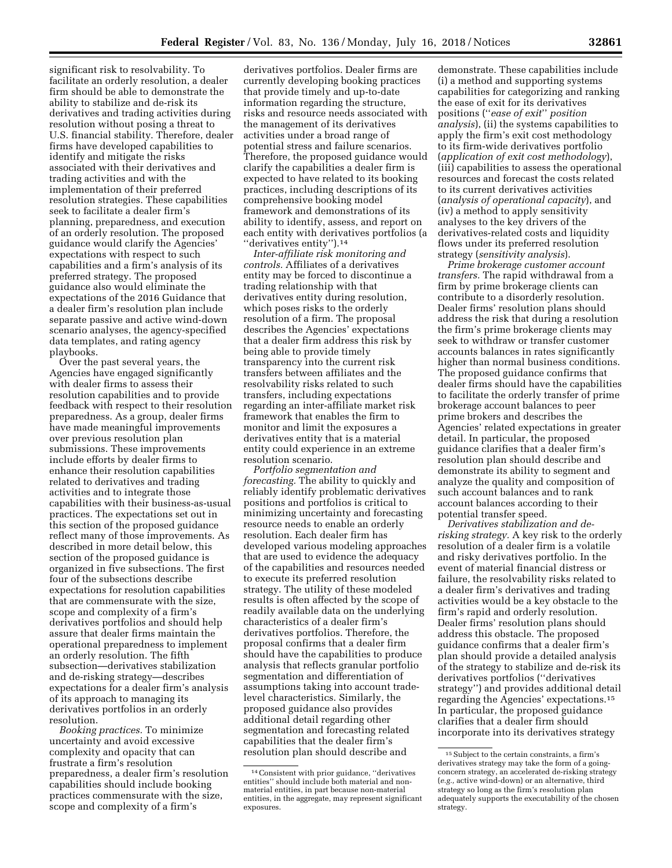significant risk to resolvability. To facilitate an orderly resolution, a dealer firm should be able to demonstrate the ability to stabilize and de-risk its derivatives and trading activities during resolution without posing a threat to U.S. financial stability. Therefore, dealer firms have developed capabilities to identify and mitigate the risks associated with their derivatives and trading activities and with the implementation of their preferred resolution strategies. These capabilities seek to facilitate a dealer firm's planning, preparedness, and execution of an orderly resolution. The proposed guidance would clarify the Agencies' expectations with respect to such capabilities and a firm's analysis of its preferred strategy. The proposed guidance also would eliminate the expectations of the 2016 Guidance that a dealer firm's resolution plan include separate passive and active wind-down scenario analyses, the agency-specified data templates, and rating agency playbooks.

Over the past several years, the Agencies have engaged significantly with dealer firms to assess their resolution capabilities and to provide feedback with respect to their resolution preparedness. As a group, dealer firms have made meaningful improvements over previous resolution plan submissions. These improvements include efforts by dealer firms to enhance their resolution capabilities related to derivatives and trading activities and to integrate those capabilities with their business-as-usual practices. The expectations set out in this section of the proposed guidance reflect many of those improvements. As described in more detail below, this section of the proposed guidance is organized in five subsections. The first four of the subsections describe expectations for resolution capabilities that are commensurate with the size, scope and complexity of a firm's derivatives portfolios and should help assure that dealer firms maintain the operational preparedness to implement an orderly resolution. The fifth subsection—derivatives stabilization and de-risking strategy—describes expectations for a dealer firm's analysis of its approach to managing its derivatives portfolios in an orderly resolution.

*Booking practices.* To minimize uncertainty and avoid excessive complexity and opacity that can frustrate a firm's resolution preparedness, a dealer firm's resolution capabilities should include booking practices commensurate with the size, scope and complexity of a firm's

derivatives portfolios. Dealer firms are currently developing booking practices that provide timely and up-to-date information regarding the structure, risks and resource needs associated with the management of its derivatives activities under a broad range of potential stress and failure scenarios. Therefore, the proposed guidance would clarify the capabilities a dealer firm is expected to have related to its booking practices, including descriptions of its comprehensive booking model framework and demonstrations of its ability to identify, assess, and report on each entity with derivatives portfolios (a ''derivatives entity'').14

*Inter-affiliate risk monitoring and controls.* Affiliates of a derivatives entity may be forced to discontinue a trading relationship with that derivatives entity during resolution, which poses risks to the orderly resolution of a firm. The proposal describes the Agencies' expectations that a dealer firm address this risk by being able to provide timely transparency into the current risk transfers between affiliates and the resolvability risks related to such transfers, including expectations regarding an inter-affiliate market risk framework that enables the firm to monitor and limit the exposures a derivatives entity that is a material entity could experience in an extreme resolution scenario.

*Portfolio segmentation and forecasting.* The ability to quickly and reliably identify problematic derivatives positions and portfolios is critical to minimizing uncertainty and forecasting resource needs to enable an orderly resolution. Each dealer firm has developed various modeling approaches that are used to evidence the adequacy of the capabilities and resources needed to execute its preferred resolution strategy. The utility of these modeled results is often affected by the scope of readily available data on the underlying characteristics of a dealer firm's derivatives portfolios. Therefore, the proposal confirms that a dealer firm should have the capabilities to produce analysis that reflects granular portfolio segmentation and differentiation of assumptions taking into account tradelevel characteristics. Similarly, the proposed guidance also provides additional detail regarding other segmentation and forecasting related capabilities that the dealer firm's resolution plan should describe and

demonstrate. These capabilities include (i) a method and supporting systems capabilities for categorizing and ranking the ease of exit for its derivatives positions (''*ease of exit*'' *position analysis*), (ii) the systems capabilities to apply the firm's exit cost methodology to its firm-wide derivatives portfolio (*application of exit cost methodology*), (iii) capabilities to assess the operational resources and forecast the costs related to its current derivatives activities (*analysis of operational capacity*), and (iv) a method to apply sensitivity analyses to the key drivers of the derivatives-related costs and liquidity flows under its preferred resolution strategy (*sensitivity analysis*).

*Prime brokerage customer account transfers.* The rapid withdrawal from a firm by prime brokerage clients can contribute to a disorderly resolution. Dealer firms' resolution plans should address the risk that during a resolution the firm's prime brokerage clients may seek to withdraw or transfer customer accounts balances in rates significantly higher than normal business conditions. The proposed guidance confirms that dealer firms should have the capabilities to facilitate the orderly transfer of prime brokerage account balances to peer prime brokers and describes the Agencies' related expectations in greater detail. In particular, the proposed guidance clarifies that a dealer firm's resolution plan should describe and demonstrate its ability to segment and analyze the quality and composition of such account balances and to rank account balances according to their potential transfer speed.

*Derivatives stabilization and derisking strategy.* A key risk to the orderly resolution of a dealer firm is a volatile and risky derivatives portfolio. In the event of material financial distress or failure, the resolvability risks related to a dealer firm's derivatives and trading activities would be a key obstacle to the firm's rapid and orderly resolution. Dealer firms' resolution plans should address this obstacle. The proposed guidance confirms that a dealer firm's plan should provide a detailed analysis of the strategy to stabilize and de-risk its derivatives portfolios (''derivatives strategy'') and provides additional detail regarding the Agencies' expectations.15 In particular, the proposed guidance clarifies that a dealer firm should incorporate into its derivatives strategy

<sup>14</sup>Consistent with prior guidance, ''derivatives entities'' should include both material and nonmaterial entities, in part because non-material entities, in the aggregate, may represent significant exposures.

<sup>15</sup>Subject to the certain constraints, a firm's derivatives strategy may take the form of a goingconcern strategy, an accelerated de-risking strategy (*e.g.,* active wind-down) or an alternative, third strategy so long as the firm's resolution plan adequately supports the executability of the chosen strategy.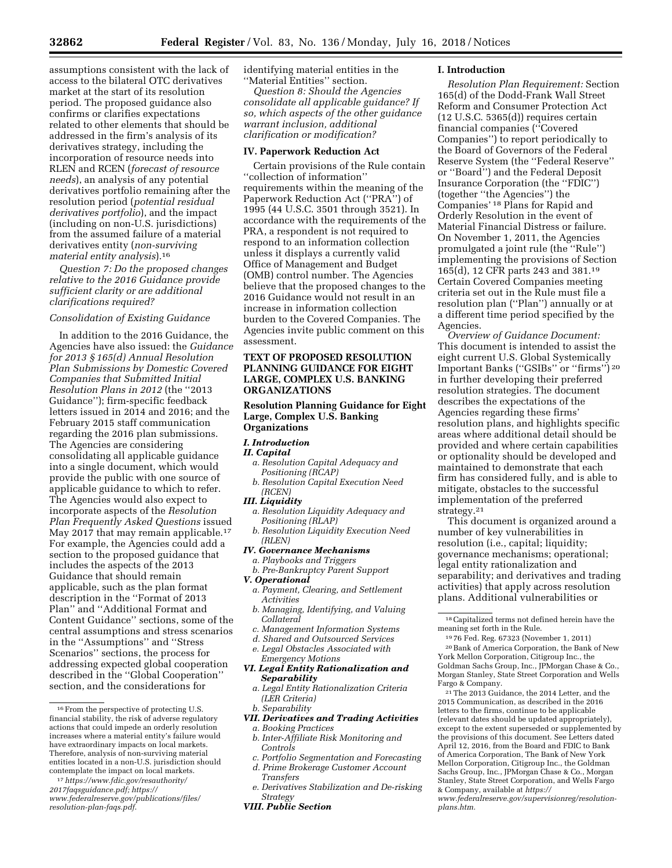assumptions consistent with the lack of access to the bilateral OTC derivatives market at the start of its resolution period. The proposed guidance also confirms or clarifies expectations related to other elements that should be addressed in the firm's analysis of its derivatives strategy, including the incorporation of resource needs into RLEN and RCEN (*forecast of resource needs*), an analysis of any potential derivatives portfolio remaining after the resolution period (*potential residual derivatives portfolio*), and the impact (including on non-U.S. jurisdictions) from the assumed failure of a material derivatives entity (*non-surviving material entity analysis*).16

*Question 7: Do the proposed changes relative to the 2016 Guidance provide sufficient clarity or are additional clarifications required?* 

# *Consolidation of Existing Guidance*

In addition to the 2016 Guidance, the Agencies have also issued: the *Guidance for 2013 § 165(d) Annual Resolution Plan Submissions by Domestic Covered Companies that Submitted Initial Resolution Plans in 2012* (the ''2013 Guidance''); firm-specific feedback letters issued in 2014 and 2016; and the February 2015 staff communication regarding the 2016 plan submissions. The Agencies are considering consolidating all applicable guidance into a single document, which would provide the public with one source of applicable guidance to which to refer. The Agencies would also expect to incorporate aspects of the *Resolution Plan Frequently Asked Questions* issued May 2017 that may remain applicable.<sup>17</sup> For example, the Agencies could add a section to the proposed guidance that includes the aspects of the 2013 Guidance that should remain applicable, such as the plan format description in the ''Format of 2013 Plan'' and ''Additional Format and Content Guidance'' sections, some of the central assumptions and stress scenarios in the ''Assumptions'' and ''Stress Scenarios'' sections, the process for addressing expected global cooperation described in the ''Global Cooperation'' section, and the considerations for

17*[https://www.fdic.gov/resauthority/](https://www.fdic.gov/resauthority/2017faqsguidance.pdf) [2017faqsguidance.pdf;](https://www.fdic.gov/resauthority/2017faqsguidance.pdf) [https://](https://www.federalreserve.gov/publications/files/resolution-plan-faqs.pdf) [www.federalreserve.gov/publications/files/](https://www.federalreserve.gov/publications/files/resolution-plan-faqs.pdf)  [resolution-plan-faqs.pdf](https://www.federalreserve.gov/publications/files/resolution-plan-faqs.pdf)*.

identifying material entities in the ''Material Entities'' section.

*Question 8: Should the Agencies consolidate all applicable guidance? If so, which aspects of the other guidance warrant inclusion, additional clarification or modification?* 

# **IV. Paperwork Reduction Act**

Certain provisions of the Rule contain ''collection of information'' requirements within the meaning of the Paperwork Reduction Act (''PRA'') of 1995 (44 U.S.C. 3501 through 3521). In accordance with the requirements of the PRA, a respondent is not required to respond to an information collection unless it displays a currently valid Office of Management and Budget (OMB) control number. The Agencies believe that the proposed changes to the 2016 Guidance would not result in an increase in information collection burden to the Covered Companies. The Agencies invite public comment on this assessment.

# **TEXT OF PROPOSED RESOLUTION PLANNING GUIDANCE FOR EIGHT LARGE, COMPLEX U.S. BANKING ORGANIZATIONS**

**Resolution Planning Guidance for Eight Large, Complex U.S. Banking Organizations** 

# *I. Introduction*

#### *II. Capital*

- *a. Resolution Capital Adequacy and Positioning (RCAP)*
- *b. Resolution Capital Execution Need (RCEN)*

#### *III. Liquidity*

- *a. Resolution Liquidity Adequacy and Positioning (RLAP)*
- *b. Resolution Liquidity Execution Need (RLEN)*
- *IV. Governance Mechanisms*
- *a. Playbooks and Triggers*
- *b. Pre-Bankruptcy Parent Support V. Operational*
- *a. Payment, Clearing, and Settlement Activities*
- *b. Managing, Identifying, and Valuing Collateral*
- *c. Management Information Systems*
- *d. Shared and Outsourced Services*
- *e. Legal Obstacles Associated with*
- *Emergency Motions*
- *VI. Legal Entity Rationalization and Separability* 
	- *a. Legal Entity Rationalization Criteria (LER Criteria)*
- *b. Separability*
- *VII. Derivatives and Trading Activities*
- *a. Booking Practices*
- *b. Inter-Affiliate Risk Monitoring and Controls*
- *c. Portfolio Segmentation and Forecasting d. Prime Brokerage Customer Account*
- *Transfers*
- *e. Derivatives Stabilization and De-risking Strategy*
- *VIII. Public Section*

### **I. Introduction**

*Resolution Plan Requirement:* Section 165(d) of the Dodd-Frank Wall Street Reform and Consumer Protection Act (12 U.S.C. 5365(d)) requires certain financial companies (''Covered Companies'') to report periodically to the Board of Governors of the Federal Reserve System (the ''Federal Reserve'' or ''Board'') and the Federal Deposit Insurance Corporation (the ''FDIC'') (together ''the Agencies'') the Companies' 18 Plans for Rapid and Orderly Resolution in the event of Material Financial Distress or failure. On November 1, 2011, the Agencies promulgated a joint rule (the ''Rule'') implementing the provisions of Section 165(d), 12 CFR parts 243 and 381.19 Certain Covered Companies meeting criteria set out in the Rule must file a resolution plan (''Plan'') annually or at a different time period specified by the Agencies.

*Overview of Guidance Document:*  This document is intended to assist the eight current U.S. Global Systemically Important Banks (''GSIBs'' or ''firms'') 20 in further developing their preferred resolution strategies. The document describes the expectations of the Agencies regarding these firms' resolution plans, and highlights specific areas where additional detail should be provided and where certain capabilities or optionality should be developed and maintained to demonstrate that each firm has considered fully, and is able to mitigate, obstacles to the successful implementation of the preferred strategy.<sup>21</sup>

This document is organized around a number of key vulnerabilities in resolution (i.e., capital; liquidity; governance mechanisms; operational; legal entity rationalization and separability; and derivatives and trading activities) that apply across resolution plans. Additional vulnerabilities or

18Capitalized terms not defined herein have the meaning set forth in the Rule.

19 76 Fed. Reg. 67323 (November 1, 2011) 20Bank of America Corporation, the Bank of New York Mellon Corporation, Citigroup Inc., the Goldman Sachs Group, Inc., JPMorgan Chase & Co., Morgan Stanley, State Street Corporation and Wells Fargo & Company.

21The 2013 Guidance, the 2014 Letter, and the 2015 Communication, as described in the 2016 letters to the firms, continue to be applicable (relevant dates should be updated appropriately), except to the extent superseded or supplemented by the provisions of this document. See Letters dated April 12, 2016, from the Board and FDIC to Bank of America Corporation, The Bank of New York Mellon Corporation, Citigroup Inc., the Goldman Sachs Group, Inc., JPMorgan Chase & Co., Morgan Stanley, State Street Corporation, and Wells Fargo & Company, available at *[https://](https://www.federalreserve.gov/supervisionreg/resolution-plans.htm)*

*[www.federalreserve.gov/supervisionreg/resolution](https://www.federalreserve.gov/supervisionreg/resolution-plans.htm)[plans.htm.](https://www.federalreserve.gov/supervisionreg/resolution-plans.htm)* 

<sup>16</sup>From the perspective of protecting U.S. financial stability, the risk of adverse regulatory actions that could impede an orderly resolution increases where a material entity's failure would have extraordinary impacts on local markets. Therefore, analysis of non-surviving material entities located in a non-U.S. jurisdiction should contemplate the impact on local markets.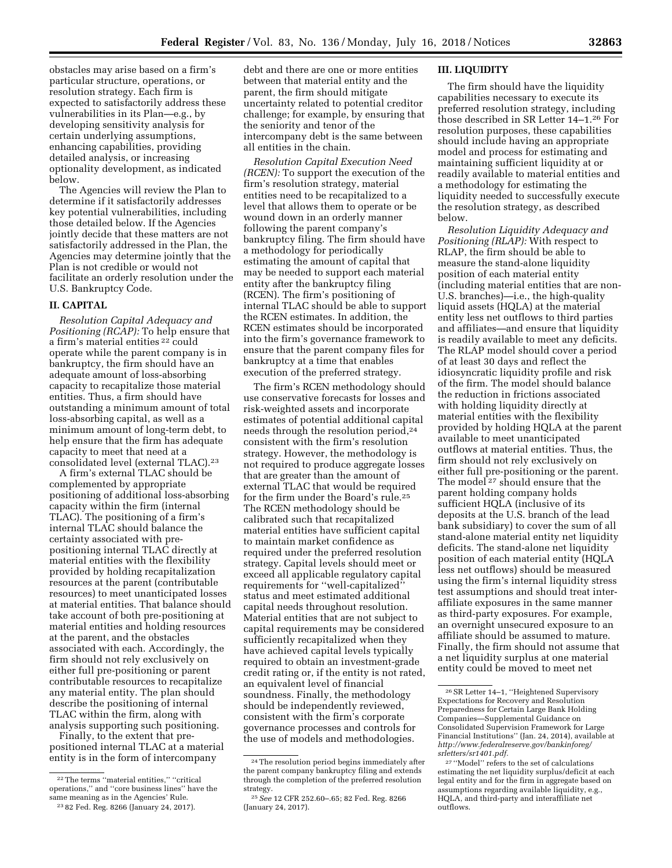obstacles may arise based on a firm's particular structure, operations, or resolution strategy. Each firm is expected to satisfactorily address these vulnerabilities in its Plan—e.g., by developing sensitivity analysis for certain underlying assumptions, enhancing capabilities, providing detailed analysis, or increasing optionality development, as indicated below.

The Agencies will review the Plan to determine if it satisfactorily addresses key potential vulnerabilities, including those detailed below. If the Agencies jointly decide that these matters are not satisfactorily addressed in the Plan, the Agencies may determine jointly that the Plan is not credible or would not facilitate an orderly resolution under the U.S. Bankruptcy Code.

# **II. CAPITAL**

*Resolution Capital Adequacy and Positioning (RCAP):* To help ensure that a firm's material entities 22 could operate while the parent company is in bankruptcy, the firm should have an adequate amount of loss-absorbing capacity to recapitalize those material entities. Thus, a firm should have outstanding a minimum amount of total loss-absorbing capital, as well as a minimum amount of long-term debt, to help ensure that the firm has adequate capacity to meet that need at a consolidated level (external TLAC).23

A firm's external TLAC should be complemented by appropriate positioning of additional loss-absorbing capacity within the firm (internal TLAC). The positioning of a firm's internal TLAC should balance the certainty associated with prepositioning internal TLAC directly at material entities with the flexibility provided by holding recapitalization resources at the parent (contributable resources) to meet unanticipated losses at material entities. That balance should take account of both pre-positioning at material entities and holding resources at the parent, and the obstacles associated with each. Accordingly, the firm should not rely exclusively on either full pre-positioning or parent contributable resources to recapitalize any material entity. The plan should describe the positioning of internal TLAC within the firm, along with analysis supporting such positioning.

Finally, to the extent that prepositioned internal TLAC at a material entity is in the form of intercompany

debt and there are one or more entities between that material entity and the parent, the firm should mitigate uncertainty related to potential creditor challenge; for example, by ensuring that the seniority and tenor of the intercompany debt is the same between all entities in the chain.

*Resolution Capital Execution Need (RCEN):* To support the execution of the firm's resolution strategy, material entities need to be recapitalized to a level that allows them to operate or be wound down in an orderly manner following the parent company's bankruptcy filing. The firm should have a methodology for periodically estimating the amount of capital that may be needed to support each material entity after the bankruptcy filing (RCEN). The firm's positioning of internal TLAC should be able to support the RCEN estimates. In addition, the RCEN estimates should be incorporated into the firm's governance framework to ensure that the parent company files for bankruptcy at a time that enables execution of the preferred strategy.

The firm's RCEN methodology should use conservative forecasts for losses and risk-weighted assets and incorporate estimates of potential additional capital needs through the resolution period,24 consistent with the firm's resolution strategy. However, the methodology is not required to produce aggregate losses that are greater than the amount of external TLAC that would be required for the firm under the Board's rule.25 The RCEN methodology should be calibrated such that recapitalized material entities have sufficient capital to maintain market confidence as required under the preferred resolution strategy. Capital levels should meet or exceed all applicable regulatory capital requirements for ''well-capitalized'' status and meet estimated additional capital needs throughout resolution. Material entities that are not subject to capital requirements may be considered sufficiently recapitalized when they have achieved capital levels typically required to obtain an investment-grade credit rating or, if the entity is not rated, an equivalent level of financial soundness. Finally, the methodology should be independently reviewed, consistent with the firm's corporate governance processes and controls for the use of models and methodologies.

# **III. LIQUIDITY**

The firm should have the liquidity capabilities necessary to execute its preferred resolution strategy, including those described in SR Letter 14–1.26 For resolution purposes, these capabilities should include having an appropriate model and process for estimating and maintaining sufficient liquidity at or readily available to material entities and a methodology for estimating the liquidity needed to successfully execute the resolution strategy, as described below.

*Resolution Liquidity Adequacy and Positioning (RLAP):* With respect to RLAP, the firm should be able to measure the stand-alone liquidity position of each material entity (including material entities that are non-U.S. branches)—i.e., the high-quality liquid assets (HQLA) at the material entity less net outflows to third parties and affiliates—and ensure that liquidity is readily available to meet any deficits. The RLAP model should cover a period of at least 30 days and reflect the idiosyncratic liquidity profile and risk of the firm. The model should balance the reduction in frictions associated with holding liquidity directly at material entities with the flexibility provided by holding HQLA at the parent available to meet unanticipated outflows at material entities. Thus, the firm should not rely exclusively on either full pre-positioning or the parent. The model 27 should ensure that the parent holding company holds sufficient HQLA (inclusive of its deposits at the U.S. branch of the lead bank subsidiary) to cover the sum of all stand-alone material entity net liquidity deficits. The stand-alone net liquidity position of each material entity (HQLA less net outflows) should be measured using the firm's internal liquidity stress test assumptions and should treat interaffiliate exposures in the same manner as third-party exposures. For example, an overnight unsecured exposure to an affiliate should be assumed to mature. Finally, the firm should not assume that a net liquidity surplus at one material entity could be moved to meet net

<sup>22</sup>The terms ''material entities,'' ''critical operations,'' and ''core business lines'' have the same meaning as in the Agencies' Rule.

<sup>23</sup> 82 Fed. Reg. 8266 (January 24, 2017).

<sup>24</sup>The resolution period begins immediately after the parent company bankruptcy filing and extends through the completion of the preferred resolution strategy.

<sup>25</sup>*See* 12 CFR 252.60–.65; 82 Fed. Reg. 8266 (January 24, 2017).

<sup>26</sup>SR Letter 14–1, ''Heightened Supervisory Expectations for Recovery and Resolution Preparedness for Certain Large Bank Holding Companies—Supplemental Guidance on Consolidated Supervision Framework for Large Financial Institutions'' (Jan. 24, 2014), available at *[http://www.federalreserve.gov/bankinforeg/](http://www.federalreserve.gov/bankinforeg/srletters/sr1401.pdf) [srletters/sr1401.pdf.](http://www.federalreserve.gov/bankinforeg/srletters/sr1401.pdf)* 

<sup>27</sup> ''Model'' refers to the set of calculations estimating the net liquidity surplus/deficit at each legal entity and for the firm in aggregate based on assumptions regarding available liquidity, e.g., HQLA, and third-party and interaffiliate net outflows.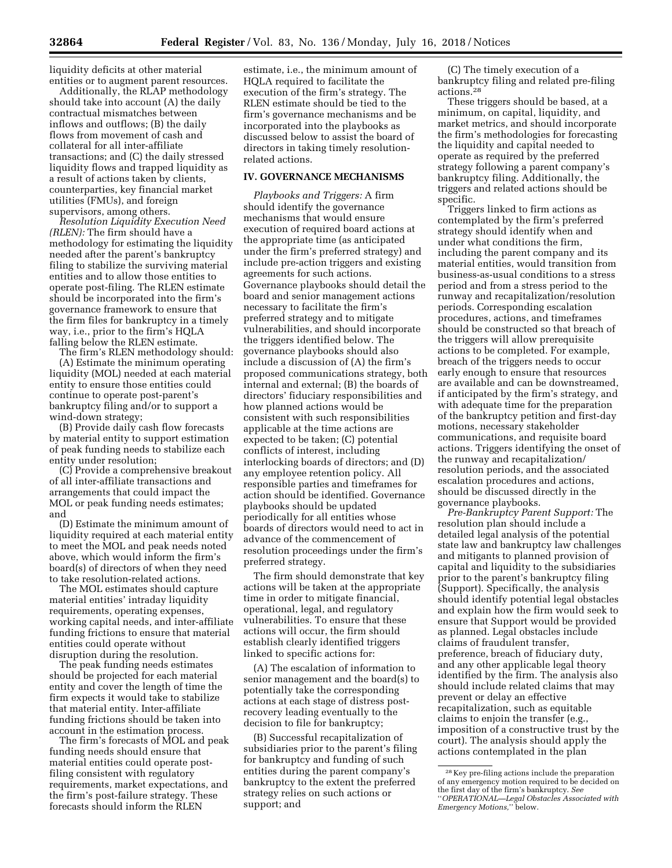liquidity deficits at other material entities or to augment parent resources.

Additionally, the RLAP methodology should take into account (A) the daily contractual mismatches between inflows and outflows; (B) the daily flows from movement of cash and collateral for all inter-affiliate transactions; and (C) the daily stressed liquidity flows and trapped liquidity as a result of actions taken by clients, counterparties, key financial market utilities (FMUs), and foreign supervisors, among others.

*Resolution Liquidity Execution Need (RLEN):* The firm should have a methodology for estimating the liquidity needed after the parent's bankruptcy filing to stabilize the surviving material entities and to allow those entities to operate post-filing. The RLEN estimate should be incorporated into the firm's governance framework to ensure that the firm files for bankruptcy in a timely way, i.e., prior to the firm's HQLA falling below the RLEN estimate.

The firm's RLEN methodology should: (A) Estimate the minimum operating

liquidity (MOL) needed at each material entity to ensure those entities could continue to operate post-parent's bankruptcy filing and/or to support a wind-down strategy;

(B) Provide daily cash flow forecasts by material entity to support estimation of peak funding needs to stabilize each entity under resolution;

(C) Provide a comprehensive breakout of all inter-affiliate transactions and arrangements that could impact the MOL or peak funding needs estimates; and

(D) Estimate the minimum amount of liquidity required at each material entity to meet the MOL and peak needs noted above, which would inform the firm's board(s) of directors of when they need to take resolution-related actions.

The MOL estimates should capture material entities' intraday liquidity requirements, operating expenses, working capital needs, and inter-affiliate funding frictions to ensure that material entities could operate without disruption during the resolution.

The peak funding needs estimates should be projected for each material entity and cover the length of time the firm expects it would take to stabilize that material entity. Inter-affiliate funding frictions should be taken into account in the estimation process.

The firm's forecasts of MOL and peak funding needs should ensure that material entities could operate postfiling consistent with regulatory requirements, market expectations, and the firm's post-failure strategy. These forecasts should inform the RLEN

estimate, i.e., the minimum amount of HQLA required to facilitate the execution of the firm's strategy. The RLEN estimate should be tied to the firm's governance mechanisms and be incorporated into the playbooks as discussed below to assist the board of directors in taking timely resolutionrelated actions.

# **IV. GOVERNANCE MECHANISMS**

*Playbooks and Triggers:* A firm should identify the governance mechanisms that would ensure execution of required board actions at the appropriate time (as anticipated under the firm's preferred strategy) and include pre-action triggers and existing agreements for such actions. Governance playbooks should detail the board and senior management actions necessary to facilitate the firm's preferred strategy and to mitigate vulnerabilities, and should incorporate the triggers identified below. The governance playbooks should also include a discussion of (A) the firm's proposed communications strategy, both internal and external; (B) the boards of directors' fiduciary responsibilities and how planned actions would be consistent with such responsibilities applicable at the time actions are expected to be taken; (C) potential conflicts of interest, including interlocking boards of directors; and (D) any employee retention policy. All responsible parties and timeframes for action should be identified. Governance playbooks should be updated periodically for all entities whose boards of directors would need to act in advance of the commencement of resolution proceedings under the firm's preferred strategy.

The firm should demonstrate that key actions will be taken at the appropriate time in order to mitigate financial, operational, legal, and regulatory vulnerabilities. To ensure that these actions will occur, the firm should establish clearly identified triggers linked to specific actions for:

(A) The escalation of information to senior management and the board(s) to potentially take the corresponding actions at each stage of distress postrecovery leading eventually to the decision to file for bankruptcy;

(B) Successful recapitalization of subsidiaries prior to the parent's filing for bankruptcy and funding of such entities during the parent company's bankruptcy to the extent the preferred strategy relies on such actions or support; and

(C) The timely execution of a bankruptcy filing and related pre-filing actions.28

These triggers should be based, at a minimum, on capital, liquidity, and market metrics, and should incorporate the firm's methodologies for forecasting the liquidity and capital needed to operate as required by the preferred strategy following a parent company's bankruptcy filing. Additionally, the triggers and related actions should be specific.

Triggers linked to firm actions as contemplated by the firm's preferred strategy should identify when and under what conditions the firm, including the parent company and its material entities, would transition from business-as-usual conditions to a stress period and from a stress period to the runway and recapitalization/resolution periods. Corresponding escalation procedures, actions, and timeframes should be constructed so that breach of the triggers will allow prerequisite actions to be completed. For example, breach of the triggers needs to occur early enough to ensure that resources are available and can be downstreamed, if anticipated by the firm's strategy, and with adequate time for the preparation of the bankruptcy petition and first-day motions, necessary stakeholder communications, and requisite board actions. Triggers identifying the onset of the runway and recapitalization/ resolution periods, and the associated escalation procedures and actions, should be discussed directly in the governance playbooks.

*Pre-Bankruptcy Parent Support:* The resolution plan should include a detailed legal analysis of the potential state law and bankruptcy law challenges and mitigants to planned provision of capital and liquidity to the subsidiaries prior to the parent's bankruptcy filing (Support). Specifically, the analysis should identify potential legal obstacles and explain how the firm would seek to ensure that Support would be provided as planned. Legal obstacles include claims of fraudulent transfer, preference, breach of fiduciary duty, and any other applicable legal theory identified by the firm. The analysis also should include related claims that may prevent or delay an effective recapitalization, such as equitable claims to enjoin the transfer (e.g., imposition of a constructive trust by the court). The analysis should apply the actions contemplated in the plan

<sup>28</sup> Key pre-filing actions include the preparation of any emergency motion required to be decided on the first day of the firm's bankruptcy. *See*  ''*OPERATIONAL—Legal Obstacles Associated with Emergency Motions,*'' below.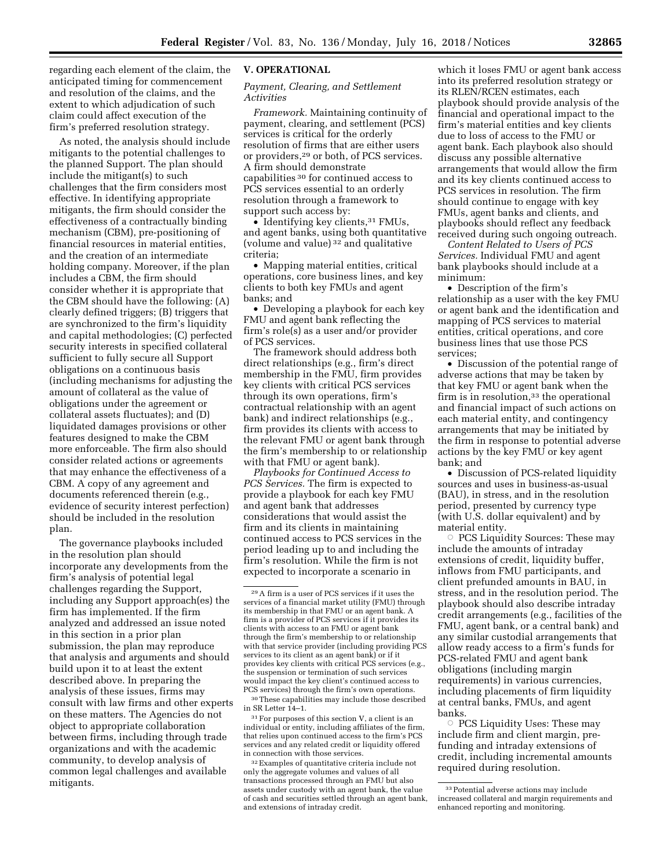regarding each element of the claim, the anticipated timing for commencement and resolution of the claims, and the extent to which adjudication of such claim could affect execution of the firm's preferred resolution strategy.

As noted, the analysis should include mitigants to the potential challenges to the planned Support. The plan should include the mitigant(s) to such challenges that the firm considers most effective. In identifying appropriate mitigants, the firm should consider the effectiveness of a contractually binding mechanism (CBM), pre-positioning of financial resources in material entities, and the creation of an intermediate holding company. Moreover, if the plan includes a CBM, the firm should consider whether it is appropriate that the CBM should have the following: (A) clearly defined triggers; (B) triggers that are synchronized to the firm's liquidity and capital methodologies; (C) perfected security interests in specified collateral sufficient to fully secure all Support obligations on a continuous basis (including mechanisms for adjusting the amount of collateral as the value of obligations under the agreement or collateral assets fluctuates); and (D) liquidated damages provisions or other features designed to make the CBM more enforceable. The firm also should consider related actions or agreements that may enhance the effectiveness of a CBM. A copy of any agreement and documents referenced therein (e.g., evidence of security interest perfection) should be included in the resolution plan.

The governance playbooks included in the resolution plan should incorporate any developments from the firm's analysis of potential legal challenges regarding the Support, including any Support approach(es) the firm has implemented. If the firm analyzed and addressed an issue noted in this section in a prior plan submission, the plan may reproduce that analysis and arguments and should build upon it to at least the extent described above. In preparing the analysis of these issues, firms may consult with law firms and other experts on these matters. The Agencies do not object to appropriate collaboration between firms, including through trade organizations and with the academic community, to develop analysis of common legal challenges and available mitigants.

# **V. OPERATIONAL**

### *Payment, Clearing, and Settlement Activities*

*Framework.* Maintaining continuity of payment, clearing, and settlement (PCS) services is critical for the orderly resolution of firms that are either users or providers,29 or both, of PCS services. A firm should demonstrate capabilities 30 for continued access to PCS services essential to an orderly resolution through a framework to support such access by:

• Identifying key clients,<sup>31</sup> FMUs, and agent banks, using both quantitative (volume and value) 32 and qualitative criteria;

• Mapping material entities, critical operations, core business lines, and key clients to both key FMUs and agent banks; and

• Developing a playbook for each key FMU and agent bank reflecting the firm's role(s) as a user and/or provider of PCS services.

The framework should address both direct relationships (e.g., firm's direct membership in the FMU, firm provides key clients with critical PCS services through its own operations, firm's contractual relationship with an agent bank) and indirect relationships (e.g., firm provides its clients with access to the relevant FMU or agent bank through the firm's membership to or relationship with that FMU or agent bank).

*Playbooks for Continued Access to PCS Services.* The firm is expected to provide a playbook for each key FMU and agent bank that addresses considerations that would assist the firm and its clients in maintaining continued access to PCS services in the period leading up to and including the firm's resolution. While the firm is not expected to incorporate a scenario in

30These capabilities may include those described in SR Letter 14–1.

31For purposes of this section V, a client is an individual or entity, including affiliates of the firm, that relies upon continued access to the firm's PCS services and any related credit or liquidity offered in connection with those services.

32Examples of quantitative criteria include not only the aggregate volumes and values of all transactions processed through an FMU but also assets under custody with an agent bank, the value of cash and securities settled through an agent bank, and extensions of intraday credit.

which it loses FMU or agent bank access into its preferred resolution strategy or its RLEN/RCEN estimates, each playbook should provide analysis of the financial and operational impact to the firm's material entities and key clients due to loss of access to the FMU or agent bank. Each playbook also should discuss any possible alternative arrangements that would allow the firm and its key clients continued access to PCS services in resolution. The firm should continue to engage with key FMUs, agent banks and clients, and playbooks should reflect any feedback received during such ongoing outreach.

*Content Related to Users of PCS Services.* Individual FMU and agent bank playbooks should include at a minimum:

• Description of the firm's relationship as a user with the key FMU or agent bank and the identification and mapping of PCS services to material entities, critical operations, and core business lines that use those PCS services;

• Discussion of the potential range of adverse actions that may be taken by that key FMU or agent bank when the firm is in resolution,<sup>33</sup> the operational and financial impact of such actions on each material entity, and contingency arrangements that may be initiated by the firm in response to potential adverse actions by the key FMU or key agent bank; and

• Discussion of PCS-related liquidity sources and uses in business-as-usual (BAU), in stress, and in the resolution period, presented by currency type (with U.S. dollar equivalent) and by material entity.

Æ PCS Liquidity Sources: These may include the amounts of intraday extensions of credit, liquidity buffer, inflows from FMU participants, and client prefunded amounts in BAU, in stress, and in the resolution period. The playbook should also describe intraday credit arrangements (e.g., facilities of the FMU, agent bank, or a central bank) and any similar custodial arrangements that allow ready access to a firm's funds for PCS-related FMU and agent bank obligations (including margin requirements) in various currencies, including placements of firm liquidity at central banks, FMUs, and agent banks.

Æ PCS Liquidity Uses: These may include firm and client margin, prefunding and intraday extensions of credit, including incremental amounts required during resolution.

<sup>29</sup>A firm is a user of PCS services if it uses the services of a financial market utility (FMU) through its membership in that FMU or an agent bank. A firm is a provider of PCS services if it provides its clients with access to an FMU or agent bank through the firm's membership to or relationship with that service provider (including providing PCS services to its client as an agent bank) or if it provides key clients with critical PCS services (e.g., the suspension or termination of such services would impact the key client's continued access to PCS services) through the firm's own operations.

<sup>33</sup>Potential adverse actions may include increased collateral and margin requirements and enhanced reporting and monitoring.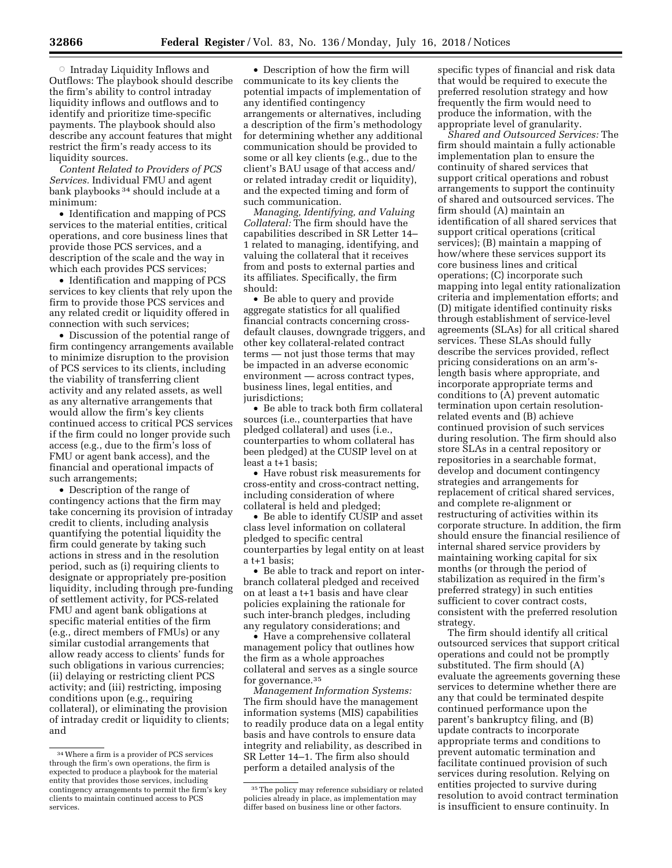$\circ$  Intraday Liquidity Inflows and Outflows: The playbook should describe the firm's ability to control intraday liquidity inflows and outflows and to identify and prioritize time-specific payments. The playbook should also describe any account features that might restrict the firm's ready access to its liquidity sources.

*Content Related to Providers of PCS Services.* Individual FMU and agent bank playbooks<sup>34</sup> should include at a minimum:

• Identification and mapping of PCS services to the material entities, critical operations, and core business lines that provide those PCS services, and a description of the scale and the way in which each provides PCS services;

• Identification and mapping of PCS services to key clients that rely upon the firm to provide those PCS services and any related credit or liquidity offered in connection with such services;

• Discussion of the potential range of firm contingency arrangements available to minimize disruption to the provision of PCS services to its clients, including the viability of transferring client activity and any related assets, as well as any alternative arrangements that would allow the firm's key clients continued access to critical PCS services if the firm could no longer provide such access (e.g., due to the firm's loss of FMU or agent bank access), and the financial and operational impacts of such arrangements;

• Description of the range of contingency actions that the firm may take concerning its provision of intraday credit to clients, including analysis quantifying the potential liquidity the firm could generate by taking such actions in stress and in the resolution period, such as (i) requiring clients to designate or appropriately pre-position liquidity, including through pre-funding of settlement activity, for PCS-related FMU and agent bank obligations at specific material entities of the firm (e.g., direct members of FMUs) or any similar custodial arrangements that allow ready access to clients' funds for such obligations in various currencies; (ii) delaying or restricting client PCS activity; and (iii) restricting, imposing conditions upon (e.g., requiring collateral), or eliminating the provision of intraday credit or liquidity to clients; and

• Description of how the firm will communicate to its key clients the potential impacts of implementation of any identified contingency arrangements or alternatives, including a description of the firm's methodology for determining whether any additional communication should be provided to some or all key clients (e.g., due to the client's BAU usage of that access and/ or related intraday credit or liquidity), and the expected timing and form of such communication.

*Managing, Identifying, and Valuing Collateral:* The firm should have the capabilities described in SR Letter 14– 1 related to managing, identifying, and valuing the collateral that it receives from and posts to external parties and its affiliates. Specifically, the firm should:

• Be able to query and provide aggregate statistics for all qualified financial contracts concerning crossdefault clauses, downgrade triggers, and other key collateral-related contract terms — not just those terms that may be impacted in an adverse economic environment — across contract types, business lines, legal entities, and jurisdictions;

• Be able to track both firm collateral sources (i.e., counterparties that have pledged collateral) and uses (i.e., counterparties to whom collateral has been pledged) at the CUSIP level on at least a t+1 basis;

• Have robust risk measurements for cross-entity and cross-contract netting, including consideration of where collateral is held and pledged;

• Be able to identify CUSIP and asset class level information on collateral pledged to specific central counterparties by legal entity on at least a t+1 basis;

• Be able to track and report on interbranch collateral pledged and received on at least a t+1 basis and have clear policies explaining the rationale for such inter-branch pledges, including any regulatory considerations; and

• Have a comprehensive collateral management policy that outlines how the firm as a whole approaches collateral and serves as a single source for governance.35

*Management Information Systems:*  The firm should have the management information systems (MIS) capabilities to readily produce data on a legal entity basis and have controls to ensure data integrity and reliability, as described in SR Letter 14–1. The firm also should perform a detailed analysis of the

specific types of financial and risk data that would be required to execute the preferred resolution strategy and how frequently the firm would need to produce the information, with the appropriate level of granularity.

*Shared and Outsourced Services:* The firm should maintain a fully actionable implementation plan to ensure the continuity of shared services that support critical operations and robust arrangements to support the continuity of shared and outsourced services. The firm should (A) maintain an identification of all shared services that support critical operations (critical services); (B) maintain a mapping of how/where these services support its core business lines and critical operations; (C) incorporate such mapping into legal entity rationalization criteria and implementation efforts; and (D) mitigate identified continuity risks through establishment of service-level agreements (SLAs) for all critical shared services. These SLAs should fully describe the services provided, reflect pricing considerations on an arm'slength basis where appropriate, and incorporate appropriate terms and conditions to (A) prevent automatic termination upon certain resolutionrelated events and (B) achieve continued provision of such services during resolution. The firm should also store SLAs in a central repository or repositories in a searchable format, develop and document contingency strategies and arrangements for replacement of critical shared services, and complete re-alignment or restructuring of activities within its corporate structure. In addition, the firm should ensure the financial resilience of internal shared service providers by maintaining working capital for six months (or through the period of stabilization as required in the firm's preferred strategy) in such entities sufficient to cover contract costs, consistent with the preferred resolution strategy.

The firm should identify all critical outsourced services that support critical operations and could not be promptly substituted. The firm should (A) evaluate the agreements governing these services to determine whether there are any that could be terminated despite continued performance upon the parent's bankruptcy filing, and (B) update contracts to incorporate appropriate terms and conditions to prevent automatic termination and facilitate continued provision of such services during resolution. Relying on entities projected to survive during resolution to avoid contract termination is insufficient to ensure continuity. In

<sup>34</sup>Where a firm is a provider of PCS services through the firm's own operations, the firm is expected to produce a playbook for the material entity that provides those services, including contingency arrangements to permit the firm's key clients to maintain continued access to PCS services.

<sup>&</sup>lt;sup>35</sup> The policy may reference subsidiary or related policies already in place, as implementation may differ based on business line or other factors.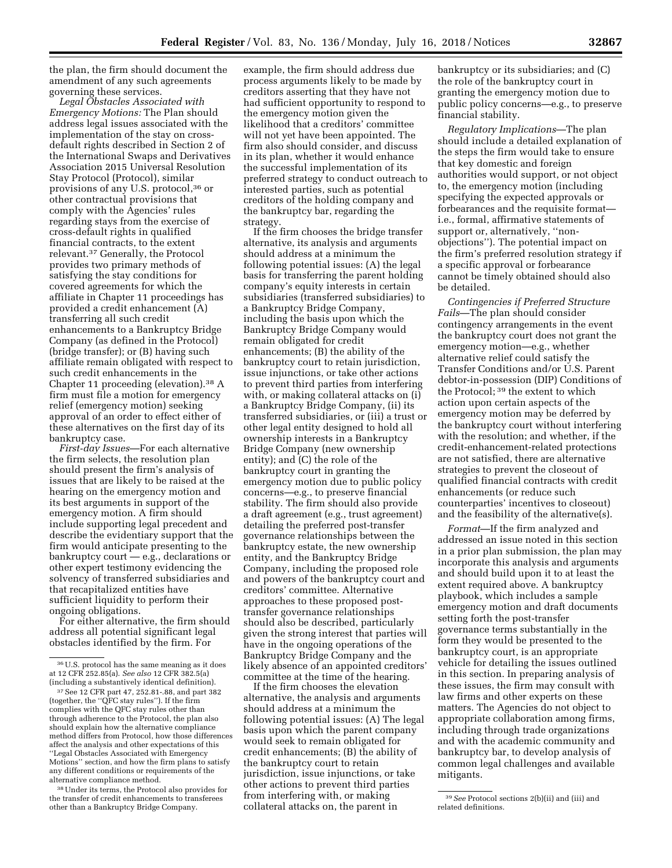the plan, the firm should document the amendment of any such agreements governing these services.

*Legal Obstacles Associated with Emergency Motions:* The Plan should address legal issues associated with the implementation of the stay on crossdefault rights described in Section 2 of the International Swaps and Derivatives Association 2015 Universal Resolution Stay Protocol (Protocol), similar provisions of any U.S. protocol,36 or other contractual provisions that comply with the Agencies' rules regarding stays from the exercise of cross-default rights in qualified financial contracts, to the extent relevant.37 Generally, the Protocol provides two primary methods of satisfying the stay conditions for covered agreements for which the affiliate in Chapter 11 proceedings has provided a credit enhancement (A) transferring all such credit enhancements to a Bankruptcy Bridge Company (as defined in the Protocol) (bridge transfer); or (B) having such affiliate remain obligated with respect to such credit enhancements in the Chapter 11 proceeding (elevation).38 A firm must file a motion for emergency relief (emergency motion) seeking approval of an order to effect either of these alternatives on the first day of its bankruptcy case.

*First-day Issues*—For each alternative the firm selects, the resolution plan should present the firm's analysis of issues that are likely to be raised at the hearing on the emergency motion and its best arguments in support of the emergency motion. A firm should include supporting legal precedent and describe the evidentiary support that the firm would anticipate presenting to the bankruptcy court — e.g., declarations or other expert testimony evidencing the solvency of transferred subsidiaries and that recapitalized entities have sufficient liquidity to perform their ongoing obligations.

For either alternative, the firm should address all potential significant legal obstacles identified by the firm. For

38Under its terms, the Protocol also provides for the transfer of credit enhancements to transferees other than a Bankruptcy Bridge Company.

example, the firm should address due process arguments likely to be made by creditors asserting that they have not had sufficient opportunity to respond to the emergency motion given the likelihood that a creditors' committee will not yet have been appointed. The firm also should consider, and discuss in its plan, whether it would enhance the successful implementation of its preferred strategy to conduct outreach to interested parties, such as potential creditors of the holding company and the bankruptcy bar, regarding the strategy.

If the firm chooses the bridge transfer alternative, its analysis and arguments should address at a minimum the following potential issues: (A) the legal basis for transferring the parent holding company's equity interests in certain subsidiaries (transferred subsidiaries) to a Bankruptcy Bridge Company, including the basis upon which the Bankruptcy Bridge Company would remain obligated for credit enhancements; (B) the ability of the bankruptcy court to retain jurisdiction, issue injunctions, or take other actions to prevent third parties from interfering with, or making collateral attacks on (i) a Bankruptcy Bridge Company, (ii) its transferred subsidiaries, or (iii) a trust or other legal entity designed to hold all ownership interests in a Bankruptcy Bridge Company (new ownership entity); and (C) the role of the bankruptcy court in granting the emergency motion due to public policy concerns—e.g., to preserve financial stability. The firm should also provide a draft agreement (e.g., trust agreement) detailing the preferred post-transfer governance relationships between the bankruptcy estate, the new ownership entity, and the Bankruptcy Bridge Company, including the proposed role and powers of the bankruptcy court and creditors' committee. Alternative approaches to these proposed posttransfer governance relationships should also be described, particularly given the strong interest that parties will have in the ongoing operations of the Bankruptcy Bridge Company and the likely absence of an appointed creditors' committee at the time of the hearing.

If the firm chooses the elevation alternative, the analysis and arguments should address at a minimum the following potential issues: (A) The legal basis upon which the parent company would seek to remain obligated for credit enhancements; (B) the ability of the bankruptcy court to retain jurisdiction, issue injunctions, or take other actions to prevent third parties from interfering with, or making collateral attacks on, the parent in

bankruptcy or its subsidiaries; and (C) the role of the bankruptcy court in granting the emergency motion due to public policy concerns—e.g., to preserve financial stability.

*Regulatory Implications*—The plan should include a detailed explanation of the steps the firm would take to ensure that key domestic and foreign authorities would support, or not object to, the emergency motion (including specifying the expected approvals or forbearances and the requisite format i.e., formal, affirmative statements of support or, alternatively, ''nonobjections''). The potential impact on the firm's preferred resolution strategy if a specific approval or forbearance cannot be timely obtained should also be detailed.

*Contingencies if Preferred Structure Fails*—The plan should consider contingency arrangements in the event the bankruptcy court does not grant the emergency motion—e.g., whether alternative relief could satisfy the Transfer Conditions and/or U.S. Parent debtor-in-possession (DIP) Conditions of the Protocol; 39 the extent to which action upon certain aspects of the emergency motion may be deferred by the bankruptcy court without interfering with the resolution; and whether, if the credit-enhancement-related protections are not satisfied, there are alternative strategies to prevent the closeout of qualified financial contracts with credit enhancements (or reduce such counterparties' incentives to closeout) and the feasibility of the alternative(s).

*Format*—If the firm analyzed and addressed an issue noted in this section in a prior plan submission, the plan may incorporate this analysis and arguments and should build upon it to at least the extent required above. A bankruptcy playbook, which includes a sample emergency motion and draft documents setting forth the post-transfer governance terms substantially in the form they would be presented to the bankruptcy court, is an appropriate vehicle for detailing the issues outlined in this section. In preparing analysis of these issues, the firm may consult with law firms and other experts on these matters. The Agencies do not object to appropriate collaboration among firms, including through trade organizations and with the academic community and bankruptcy bar, to develop analysis of common legal challenges and available mitigants.

<sup>36</sup>U.S. protocol has the same meaning as it does at 12 CFR 252.85(a). *See also* 12 CFR 382.5(a) (including a substantively identical definition).

<sup>37</sup>See 12 CFR part 47, 252.81-.88, and part 382 (together, the ''QFC stay rules''). If the firm complies with the QFC stay rules other than through adherence to the Protocol, the plan also should explain how the alternative compliance method differs from Protocol, how those differences affect the analysis and other expectations of this ''Legal Obstacles Associated with Emergency Motions'' section, and how the firm plans to satisfy any different conditions or requirements of the alternative compliance method.

<sup>39</sup>*See* Protocol sections 2(b)(ii) and (iii) and related definitions.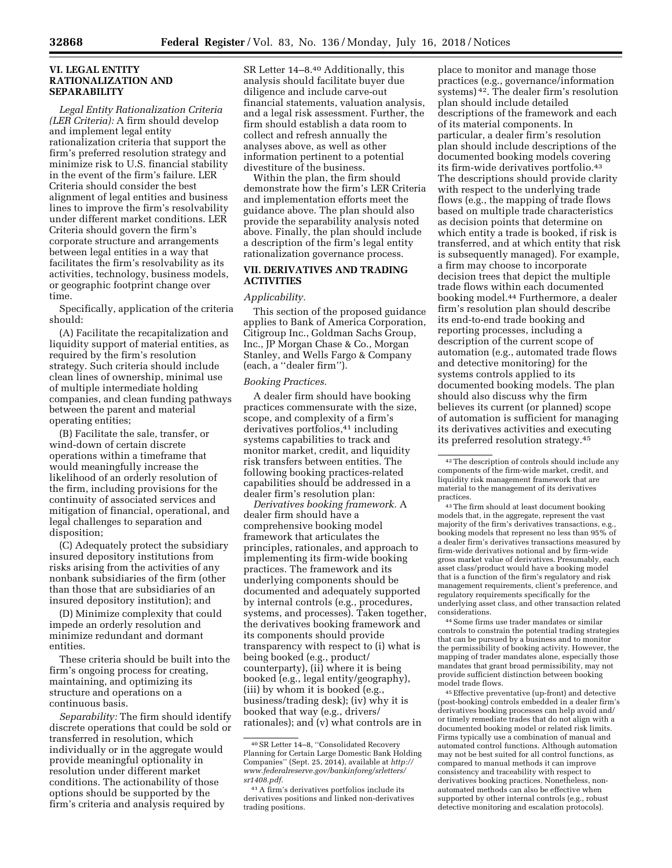### **VI. LEGAL ENTITY RATIONALIZATION AND SEPARABILITY**

*Legal Entity Rationalization Criteria (LER Criteria):* A firm should develop and implement legal entity rationalization criteria that support the firm's preferred resolution strategy and minimize risk to U.S. financial stability in the event of the firm's failure. LER Criteria should consider the best alignment of legal entities and business lines to improve the firm's resolvability under different market conditions. LER Criteria should govern the firm's corporate structure and arrangements between legal entities in a way that facilitates the firm's resolvability as its activities, technology, business models, or geographic footprint change over time.

Specifically, application of the criteria should:

(A) Facilitate the recapitalization and liquidity support of material entities, as required by the firm's resolution strategy. Such criteria should include clean lines of ownership, minimal use of multiple intermediate holding companies, and clean funding pathways between the parent and material operating entities;

(B) Facilitate the sale, transfer, or wind-down of certain discrete operations within a timeframe that would meaningfully increase the likelihood of an orderly resolution of the firm, including provisions for the continuity of associated services and mitigation of financial, operational, and legal challenges to separation and disposition;

(C) Adequately protect the subsidiary insured depository institutions from risks arising from the activities of any nonbank subsidiaries of the firm (other than those that are subsidiaries of an insured depository institution); and

(D) Minimize complexity that could impede an orderly resolution and minimize redundant and dormant entities.

These criteria should be built into the firm's ongoing process for creating, maintaining, and optimizing its structure and operations on a continuous basis.

*Separability:* The firm should identify discrete operations that could be sold or transferred in resolution, which individually or in the aggregate would provide meaningful optionality in resolution under different market conditions. The actionability of those options should be supported by the firm's criteria and analysis required by

SR Letter 14–8.40 Additionally, this analysis should facilitate buyer due diligence and include carve-out financial statements, valuation analysis, and a legal risk assessment. Further, the firm should establish a data room to collect and refresh annually the analyses above, as well as other information pertinent to a potential divestiture of the business.

Within the plan, the firm should demonstrate how the firm's LER Criteria and implementation efforts meet the guidance above. The plan should also provide the separability analysis noted above. Finally, the plan should include a description of the firm's legal entity rationalization governance process.

# **VII. DERIVATIVES AND TRADING ACTIVITIES**

#### *Applicability.*

This section of the proposed guidance applies to Bank of America Corporation, Citigroup Inc., Goldman Sachs Group, Inc., JP Morgan Chase & Co., Morgan Stanley, and Wells Fargo & Company (each, a ''dealer firm'').

### *Booking Practices.*

A dealer firm should have booking practices commensurate with the size, scope, and complexity of a firm's derivatives portfolios,<sup>41</sup> including systems capabilities to track and monitor market, credit, and liquidity risk transfers between entities. The following booking practices-related capabilities should be addressed in a dealer firm's resolution plan:

*Derivatives booking framework.* A dealer firm should have a comprehensive booking model framework that articulates the principles, rationales, and approach to implementing its firm-wide booking practices. The framework and its underlying components should be documented and adequately supported by internal controls (e.g., procedures, systems, and processes). Taken together, the derivatives booking framework and its components should provide transparency with respect to (i) what is being booked (e.g., product/ counterparty), (ii) where it is being booked (e.g., legal entity/geography), (iii) by whom it is booked (e.g., business/trading desk); (iv) why it is booked that way (e.g., drivers/ rationales); and (v) what controls are in

place to monitor and manage those practices (e.g., governance/information systems) 42. The dealer firm's resolution plan should include detailed descriptions of the framework and each of its material components. In particular, a dealer firm's resolution plan should include descriptions of the documented booking models covering its firm-wide derivatives portfolio.43 The descriptions should provide clarity with respect to the underlying trade flows (e.g., the mapping of trade flows based on multiple trade characteristics as decision points that determine on which entity a trade is booked, if risk is transferred, and at which entity that risk is subsequently managed). For example, a firm may choose to incorporate decision trees that depict the multiple trade flows within each documented booking model.44 Furthermore, a dealer firm's resolution plan should describe its end-to-end trade booking and reporting processes, including a description of the current scope of automation (e.g., automated trade flows and detective monitoring) for the systems controls applied to its documented booking models. The plan should also discuss why the firm believes its current (or planned) scope of automation is sufficient for managing its derivatives activities and executing its preferred resolution strategy.45

43The firm should at least document booking models that, in the aggregate, represent the vast majority of the firm's derivatives transactions, e.g., booking models that represent no less than 95% of a dealer firm's derivatives transactions measured by firm-wide derivatives notional and by firm-wide gross market value of derivatives. Presumably, each asset class/product would have a booking model that is a function of the firm's regulatory and risk management requirements, client's preference, and regulatory requirements specifically for the underlying asset class, and other transaction related considerations.

44Some firms use trader mandates or similar controls to constrain the potential trading strategies that can be pursued by a business and to monitor the permissibility of booking activity. However, the mapping of trader mandates alone, especially those mandates that grant broad permissibility, may not provide sufficient distinction between booking model trade flows.

45Effective preventative (up-front) and detective (post-booking) controls embedded in a dealer firm's derivatives booking processes can help avoid and/ or timely remediate trades that do not align with a documented booking model or related risk limits. Firms typically use a combination of manual and automated control functions. Although automation may not be best suited for all control functions, as compared to manual methods it can improve consistency and traceability with respect to derivatives booking practices. Nonetheless, nonautomated methods can also be effective when supported by other internal controls (e.g., robust detective monitoring and escalation protocols).

<sup>40</sup>SR Letter 14–8, ''Consolidated Recovery Planning for Certain Large Domestic Bank Holding Companies'' (Sept. 25, 2014), available at *[http://](http://www.federalreserve.gov/bankinforeg/srletters/sr1408.pdf) [www.federalreserve.gov/bankinforeg/srletters/](http://www.federalreserve.gov/bankinforeg/srletters/sr1408.pdf) [sr1408.pdf.](http://www.federalreserve.gov/bankinforeg/srletters/sr1408.pdf)* 

<sup>41</sup>A firm's derivatives portfolios include its derivatives positions and linked non-derivatives trading positions.

<sup>42</sup>The description of controls should include any components of the firm-wide market, credit, and liquidity risk management framework that are material to the management of its derivatives practices.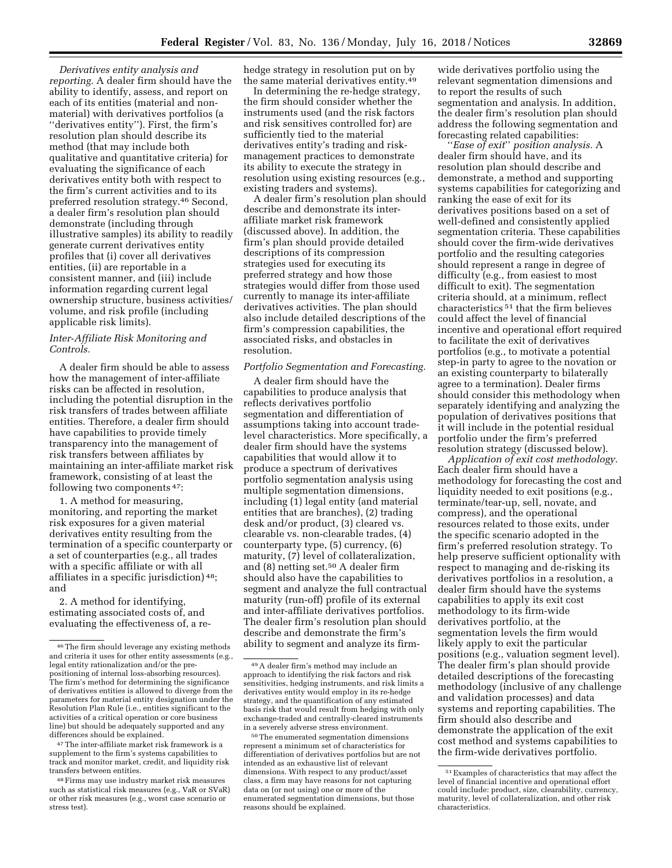*Derivatives entity analysis and reporting.* A dealer firm should have the ability to identify, assess, and report on each of its entities (material and nonmaterial) with derivatives portfolios (a ''derivatives entity''). First*,* the firm's resolution plan should describe its method (that may include both qualitative and quantitative criteria) for evaluating the significance of each derivatives entity both with respect to the firm's current activities and to its preferred resolution strategy.46 Second, a dealer firm's resolution plan should demonstrate (including through illustrative samples) its ability to readily generate current derivatives entity profiles that (i) cover all derivatives entities, (ii) are reportable in a consistent manner, and (iii) include information regarding current legal ownership structure, business activities/ volume, and risk profile (including applicable risk limits).

# *Inter-Affiliate Risk Monitoring and Controls.*

A dealer firm should be able to assess how the management of inter-affiliate risks can be affected in resolution, including the potential disruption in the risk transfers of trades between affiliate entities. Therefore, a dealer firm should have capabilities to provide timely transparency into the management of risk transfers between affiliates by maintaining an inter-affiliate market risk framework, consisting of at least the following two components 47:

1. A method for measuring, monitoring, and reporting the market risk exposures for a given material derivatives entity resulting from the termination of a specific counterparty or a set of counterparties (e.g., all trades with a specific affiliate or with all affiliates in a specific jurisdiction) 48; and

2. A method for identifying, estimating associated costs of, and evaluating the effectiveness of, a re-

47The inter-affiliate market risk framework is a supplement to the firm's systems capabilities to track and monitor market, credit, and liquidity risk transfers between entities.

hedge strategy in resolution put on by the same material derivatives entity.49

In determining the re-hedge strategy, the firm should consider whether the instruments used (and the risk factors and risk sensitives controlled for) are sufficiently tied to the material derivatives entity's trading and riskmanagement practices to demonstrate its ability to execute the strategy in resolution using existing resources (e.g., existing traders and systems).

A dealer firm's resolution plan should describe and demonstrate its interaffiliate market risk framework (discussed above). In addition, the firm's plan should provide detailed descriptions of its compression strategies used for executing its preferred strategy and how those strategies would differ from those used currently to manage its inter-affiliate derivatives activities. The plan should also include detailed descriptions of the firm's compression capabilities, the associated risks, and obstacles in resolution.

# *Portfolio Segmentation and Forecasting.*

A dealer firm should have the capabilities to produce analysis that reflects derivatives portfolio segmentation and differentiation of assumptions taking into account tradelevel characteristics. More specifically, a dealer firm should have the systems capabilities that would allow it to produce a spectrum of derivatives portfolio segmentation analysis using multiple segmentation dimensions, including (1) legal entity (and material entities that are branches), (2) trading desk and/or product, (3) cleared vs. clearable vs. non-clearable trades, (4) counterparty type, (5) currency, (6) maturity, (7) level of collateralization, and (8) netting set.50 A dealer firm should also have the capabilities to segment and analyze the full contractual maturity (run-off) profile of its external and inter-affiliate derivatives portfolios. The dealer firm's resolution plan should describe and demonstrate the firm's ability to segment and analyze its firm-

50The enumerated segmentation dimensions represent a minimum set of characteristics for differentiation of derivatives portfolios but are not intended as an exhaustive list of relevant dimensions. With respect to any product/asset class, a firm may have reasons for not capturing data on (or not using) one or more of the enumerated segmentation dimensions, but those reasons should be explained.

wide derivatives portfolio using the relevant segmentation dimensions and to report the results of such segmentation and analysis. In addition, the dealer firm's resolution plan should address the following segmentation and forecasting related capabilities:

''*Ease of exit*'' *position analysis.* A dealer firm should have, and its resolution plan should describe and demonstrate, a method and supporting systems capabilities for categorizing and ranking the ease of exit for its derivatives positions based on a set of well-defined and consistently applied segmentation criteria. These capabilities should cover the firm-wide derivatives portfolio and the resulting categories should represent a range in degree of difficulty (e.g., from easiest to most difficult to exit). The segmentation criteria should, at a minimum, reflect characteristics 51 that the firm believes could affect the level of financial incentive and operational effort required to facilitate the exit of derivatives portfolios (e.g., to motivate a potential step-in party to agree to the novation or an existing counterparty to bilaterally agree to a termination). Dealer firms should consider this methodology when separately identifying and analyzing the population of derivatives positions that it will include in the potential residual portfolio under the firm's preferred resolution strategy (discussed below).

*Application of exit cost methodology.*  Each dealer firm should have a methodology for forecasting the cost and liquidity needed to exit positions (e.g., terminate/tear-up, sell, novate, and compress), and the operational resources related to those exits, under the specific scenario adopted in the firm's preferred resolution strategy. To help preserve sufficient optionality with respect to managing and de-risking its derivatives portfolios in a resolution, a dealer firm should have the systems capabilities to apply its exit cost methodology to its firm-wide derivatives portfolio, at the segmentation levels the firm would likely apply to exit the particular positions (e.g., valuation segment level). The dealer firm's plan should provide detailed descriptions of the forecasting methodology (inclusive of any challenge and validation processes) and data systems and reporting capabilities. The firm should also describe and demonstrate the application of the exit cost method and systems capabilities to the firm-wide derivatives portfolio.

<sup>46</sup>The firm should leverage any existing methods and criteria it uses for other entity assessments (e.g., legal entity rationalization and/or the prepositioning of internal loss-absorbing resources). The firm's method for determining the significance of derivatives entities is allowed to diverge from the parameters for material entity designation under the Resolution Plan Rule (i.e., entities significant to the activities of a critical operation or core business line) but should be adequately supported and any differences should be explained.

<sup>48</sup>Firms may use industry market risk measures such as statistical risk measures (e.g., VaR or SVaR) or other risk measures (e.g., worst case scenario or stress test).

<sup>49</sup>A dealer firm's method may include an approach to identifying the risk factors and risk sensitivities, hedging instruments, and risk limits a derivatives entity would employ in its re-hedge strategy, and the quantification of any estimated basis risk that would result from hedging with only exchange-traded and centrally-cleared instruments in a severely adverse stress environment.

<sup>51</sup>Examples of characteristics that may affect the level of financial incentive and operational effort could include: product, size, clearability, currency, maturity, level of collateralization, and other risk characteristics.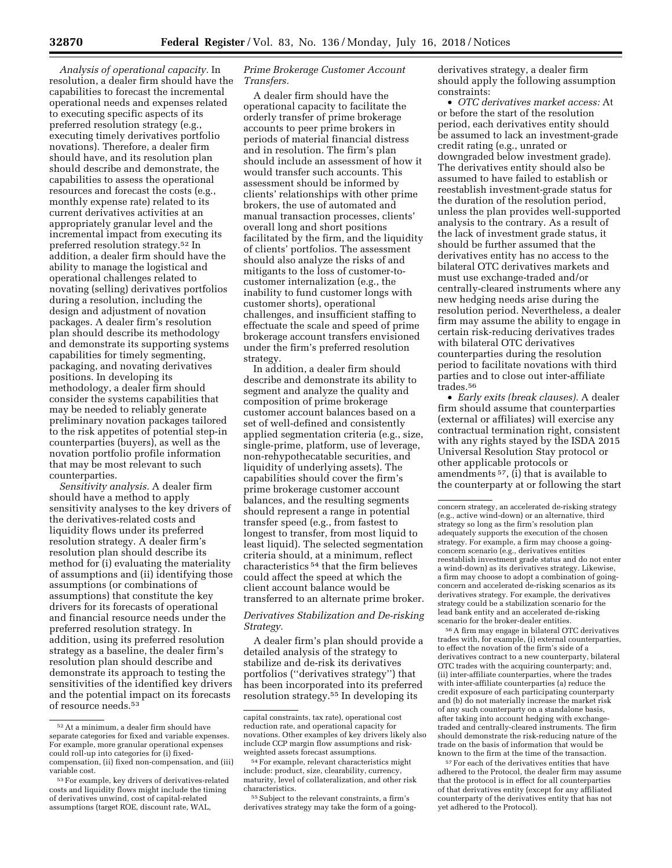*Analysis of operational capacity.* In resolution, a dealer firm should have the capabilities to forecast the incremental operational needs and expenses related to executing specific aspects of its preferred resolution strategy (e.g., executing timely derivatives portfolio novations). Therefore, a dealer firm should have, and its resolution plan should describe and demonstrate, the capabilities to assess the operational resources and forecast the costs (e.g., monthly expense rate) related to its current derivatives activities at an appropriately granular level and the incremental impact from executing its preferred resolution strategy.52 In addition, a dealer firm should have the ability to manage the logistical and operational challenges related to novating (selling) derivatives portfolios during a resolution, including the design and adjustment of novation packages. A dealer firm's resolution plan should describe its methodology and demonstrate its supporting systems capabilities for timely segmenting, packaging, and novating derivatives positions. In developing its methodology, a dealer firm should consider the systems capabilities that may be needed to reliably generate preliminary novation packages tailored to the risk appetites of potential step-in counterparties (buyers), as well as the novation portfolio profile information that may be most relevant to such counterparties.

*Sensitivity analysis.* A dealer firm should have a method to apply sensitivity analyses to the key drivers of the derivatives-related costs and liquidity flows under its preferred resolution strategy. A dealer firm's resolution plan should describe its method for (i) evaluating the materiality of assumptions and (ii) identifying those assumptions (or combinations of assumptions) that constitute the key drivers for its forecasts of operational and financial resource needs under the preferred resolution strategy. In addition, using its preferred resolution strategy as a baseline, the dealer firm's resolution plan should describe and demonstrate its approach to testing the sensitivities of the identified key drivers and the potential impact on its forecasts of resource needs.53

# *Prime Brokerage Customer Account Transfers.*

A dealer firm should have the operational capacity to facilitate the orderly transfer of prime brokerage accounts to peer prime brokers in periods of material financial distress and in resolution. The firm's plan should include an assessment of how it would transfer such accounts. This assessment should be informed by clients' relationships with other prime brokers, the use of automated and manual transaction processes, clients' overall long and short positions facilitated by the firm, and the liquidity of clients' portfolios. The assessment should also analyze the risks of and mitigants to the loss of customer-tocustomer internalization (e.g., the inability to fund customer longs with customer shorts), operational challenges, and insufficient staffing to effectuate the scale and speed of prime brokerage account transfers envisioned under the firm's preferred resolution strategy.

In addition, a dealer firm should describe and demonstrate its ability to segment and analyze the quality and composition of prime brokerage customer account balances based on a set of well-defined and consistently applied segmentation criteria (e.g., size, single-prime, platform, use of leverage, non-rehypothecatable securities, and liquidity of underlying assets). The capabilities should cover the firm's prime brokerage customer account balances, and the resulting segments should represent a range in potential transfer speed (e.g., from fastest to longest to transfer, from most liquid to least liquid). The selected segmentation criteria should, at a minimum, reflect characteristics 54 that the firm believes could affect the speed at which the client account balance would be transferred to an alternate prime broker.

# *Derivatives Stabilization and De-risking Strategy.*

A dealer firm's plan should provide a detailed analysis of the strategy to stabilize and de-risk its derivatives portfolios (''derivatives strategy'') that has been incorporated into its preferred resolution strategy.55 In developing its

55Subject to the relevant constraints, a firm's derivatives strategy may take the form of a goingderivatives strategy, a dealer firm should apply the following assumption constraints:

• *OTC derivatives market access:* At or before the start of the resolution period, each derivatives entity should be assumed to lack an investment-grade credit rating (e.g., unrated or downgraded below investment grade). The derivatives entity should also be assumed to have failed to establish or reestablish investment-grade status for the duration of the resolution period, unless the plan provides well-supported analysis to the contrary. As a result of the lack of investment grade status, it should be further assumed that the derivatives entity has no access to the bilateral OTC derivatives markets and must use exchange-traded and/or centrally-cleared instruments where any new hedging needs arise during the resolution period. Nevertheless, a dealer firm may assume the ability to engage in certain risk-reducing derivatives trades with bilateral OTC derivatives counterparties during the resolution period to facilitate novations with third parties and to close out inter-affiliate trades.56

• *Early exits (break clauses).* A dealer firm should assume that counterparties (external or affiliates) will exercise any contractual termination right, consistent with any rights stayed by the ISDA 2015 Universal Resolution Stay protocol or other applicable protocols or amendments 57, (i) that is available to the counterparty at or following the start

56A firm may engage in bilateral OTC derivatives trades with, for example, (i) external counterparties, to effect the novation of the firm's side of a derivatives contract to a new counterparty, bilateral OTC trades with the acquiring counterparty; and, (ii) inter-affiliate counterparties, where the trades with inter-affiliate counterparties (a) reduce the credit exposure of each participating counterparty and (b) do not materially increase the market risk of any such counterparty on a standalone basis, after taking into account hedging with exchangetraded and centrally-cleared instruments. The firm should demonstrate the risk-reducing nature of the trade on the basis of information that would be known to the firm at the time of the transaction.

57For each of the derivatives entities that have adhered to the Protocol, the dealer firm may assume that the protocol is in effect for all counterparties of that derivatives entity (except for any affiliated counterparty of the derivatives entity that has not yet adhered to the Protocol).

<sup>52</sup>At a minimum, a dealer firm should have separate categories for fixed and variable expenses. For example, more granular operational expenses could roll-up into categories for (i) fixedcompensation, (ii) fixed non-compensation, and (iii) variable cost.

<sup>53</sup>For example, key drivers of derivatives-related costs and liquidity flows might include the timing of derivatives unwind, cost of capital-related assumptions (target ROE, discount rate, WAL,

capital constraints, tax rate), operational cost reduction rate, and operational capacity for novations. Other examples of key drivers likely also include CCP margin flow assumptions and riskweighted assets forecast assumptions.

<sup>54</sup>For example, relevant characteristics might include: product, size, clearability, currency, maturity, level of collateralization, and other risk characteristics.

concern strategy, an accelerated de-risking strategy (e.g., active wind-down) or an alternative, third strategy so long as the firm's resolution plan adequately supports the execution of the chosen strategy. For example, a firm may choose a goingconcern scenario (e.g., derivatives entities reestablish investment grade status and do not enter a wind-down) as its derivatives strategy. Likewise, a firm may choose to adopt a combination of goingconcern and accelerated de-risking scenarios as its derivatives strategy. For example, the derivatives strategy could be a stabilization scenario for the lead bank entity and an accelerated de-risking scenario for the broker-dealer entities.